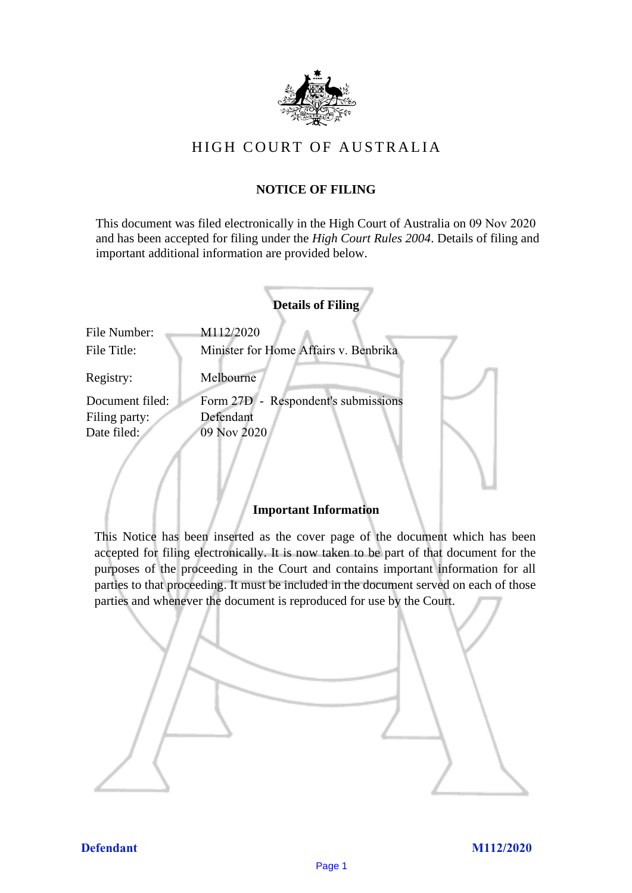

# HIGH COURT OF AU STRALIA HIGH COURT OF AUSTRALIA

## **NOTICE OF FILING** NOTICE OF FILING

This document was filed electronically in the High Court of Australia on 09 Nov 2020 This document was filed electronically in the High Court of Australia 20 and has been accepted for filing under the *High Court Rules 2004*. Details of filing and important additional information are provided below. important additional information are provided below.

|                 | <b>Details of Filing</b>               |
|-----------------|----------------------------------------|
| File Number:    | M112/2020                              |
| File Title:     | Minister for Home Affairs v. Benbrika  |
| Registry:       | Melbourne                              |
| Document filed: | Respondent's submissions<br>Form 27D - |
| Filing party:   | Defendant                              |
| Date filed:     | 09 Nov 2020                            |
|                 |                                        |
|                 |                                        |
|                 |                                        |

### **Important Information** Important Information

This Notice has been inserted as the cover page of the document which has been accepted for filing electronically. It is now taken to be part of that document for the purposes of the proceeding in the Court and contains important information for all parties to that proceeding. It must be included in the document served on each of those parties and whenever the document is reproduced for use by the Court. parties and whenever the document is reproduced for use by the Court

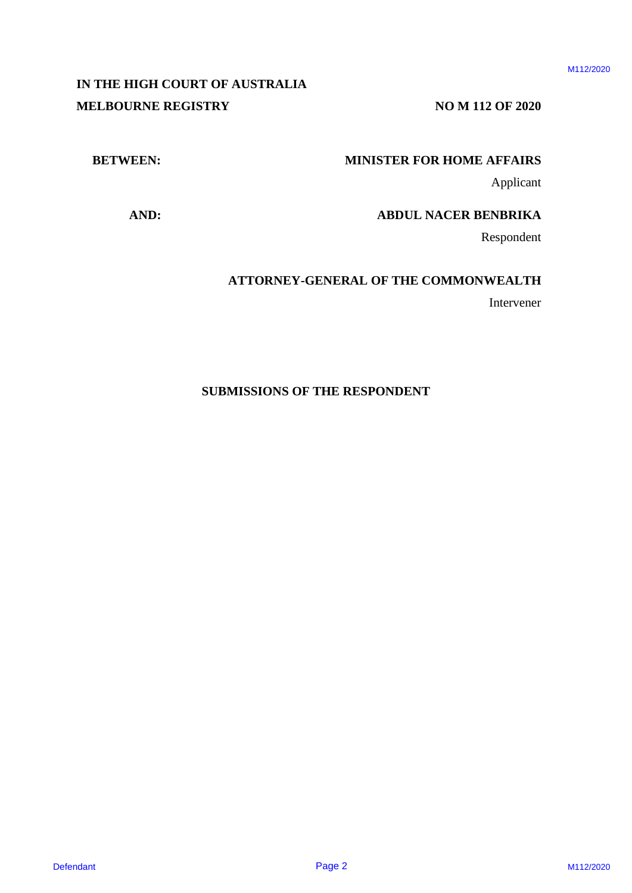# **IN THE HIGH COURT OF AUSTRALIA** IN THE HIGH COURT OF AUSTRALIA **MELBOURNE REGISTRY NO M 112 OF 2020** MELBOURNE REGISTRY NO M 112 OF 2020 IN THE RIGH COULT OF AUSTRALIA<br>
NELLOURNE REGISTRY<br>
METIWER'S:<br>
METIWER'S:<br>
ADD:<br>
ADD:<br>
ATTORNEY-GENERAL OF THE COMMONWEALTH<br>
METING AND:<br>
ATTORNEY-GENERAL OF THE COMMONWEALTH<br>
Interventer<br>
SUBMISSIONS OF THE RESPONDENT<br>
N

### **BETWEEN: MINISTER FOR HOME AFFAIRS** BETWEEN: MINISTER FOR HOME AFFAIRS

Applicant Applicant

**AND: ABDUL NACER BENBRIKA** AND: ABDUL NACER BENBRIKA

Respondent Respondent

### **ATTORNEY-GENERAL OF THE COMMONWEALTH** ATTORNEY-GENERAL OF THE COMMONWEALTH

Intervener Intervener

### **SUBMISSIONS OF THE RESPONDENT** SUBMISSIONS OF THE RESPONDENT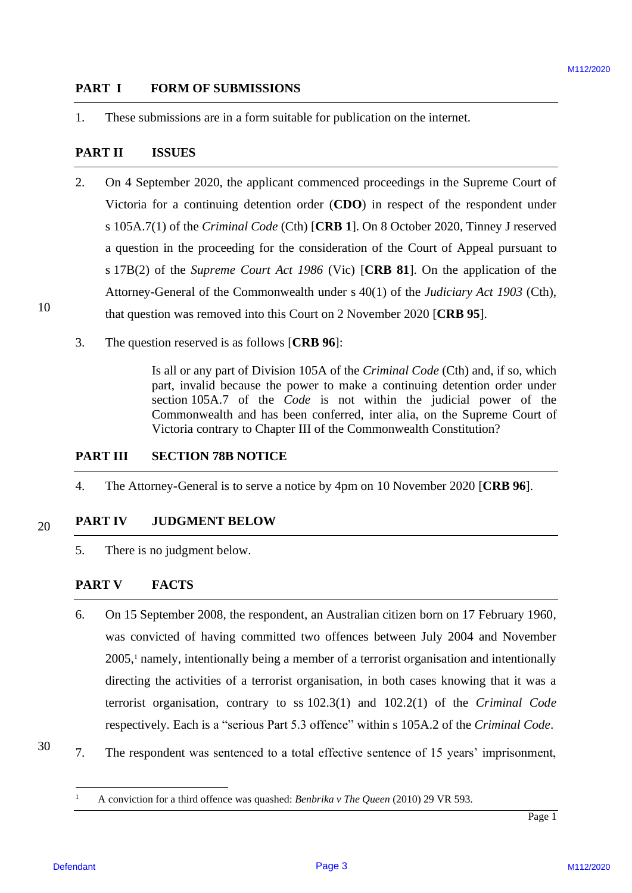### **PART I FORM OF SUBMISSIONS** PART <sup>I</sup> FORM OF SUBMISSIONS

1. These submissions are in a form suitable for publication on the internet.

### **PART II** ISSUES

- 2. On 4 September 2020, the applicant commenced proceedings in the Supreme Court of Victoria for a continuing detention order (**CDO**) in respect of the respondent under Victoria for <sup>a</sup> continuing detention order (CDO) in respect of the respondent under s 105A.7(1) of the *Criminal Code* (Cth) [CRB 1]. On 8 October 2020, Tinney J reserved a question in the proceeding for the consideration of the Court of Appeal pursuant to a question in the proceeding for the consideration of the Court of Appeal pursuant to s 17B(2) of the *Supreme Court Act 1986* (Vic) [CRB 81]. On the application of the Attorney-General of the Commonwealth under s 40(1) of the *Judiciary Act 1903* (Cth), Attorney-General of the Commonwealth under <sup>s</sup> 40(1) of the Judiciary Act 1903 (Cth), that question was removed into this Court on 2 November 2020 [**CRB 95**]. that question was removed into this Court on 2 November 2020 [CRB 95]. **PART 1 PORM OF SUITMISSIONS**<br>
1. These submissions are in a form satisfactor for publication on the internet<br>
PART II ISSUES<br>
2. On 5 Speedber, 2020, the supplicate commonod proceedings in the Superance Court of<br>
Victima
	- 3. The question reserved is as follows [**CRB 96**]: 3. The question reserved is as follows [CRB 96]:

Is all or any part of Division 105A of the *Criminal Code* (Cth) and, if so, which Is all or any part of Division 105A of the Criminal Code (Cth) and, if so, which part, invalid because the power to make a continuing detention order under part, invalid because the power to make <sup>a</sup> continuing detention order under section 105A.7 of the *Code* is not within the judicial power of the Commonwealth and has been conferred, inter alia, on the Supreme Court of Commonwealth and has been conferred, inter alia, on the Supreme Court of Victoria contrary to Chapter III of the Commonwealth Constitution? Victoria contrary to Chapter III of the Commonwealth Constitution?

# **PART III SECTION 78B NOTICE** PART III SECTION 78B NOTICE

4. The Attorney-General is to serve a notice by 4pm on 10 November 2020 [**CRB 96**]. 4. The Attorney-General is to serve a notice by 4pm on 10 November 2020 [CRB 96].

### 20 20 **PART IV JUDGMENT BELOW** PART IV JUDGMENT BELOW

5. There is no judgment below. 5. There is no judgment below.

### **PART V FACTS** PART V FACTS

- 6. On 15 September 2008, the respondent, an Australian citizen born on 17 February 1960, 6. On 15 September 2008, the respondent, an Australian citizen born on 17 February 1960, was convicted of having committed two offences between July 2004 and November was convicted of having committed two offences between July 2004 and November 2005,<sup>1</sup> namely, intentionally being a member of a terrorist organisation and intentionally directing the activities of a terrorist organisation, in both cases knowing that it was a directing the activities of a terrorist organisation, in both cases knowing that it was <sup>a</sup> terrorist organisation, contrary to ss 102.3(1) and 102.2(1) of the *Criminal Code* terrorist organisation, contrary to ss 102.3(1) and 102.2(1) of the Criminal Code respectively. Each is a "serious Part 5.3 offence" within s 105A.2 of the *Criminal Code*. respectively. Each is <sup>a</sup> "serious Part 5.3 offence" within <sup>s</sup> 105A.2 of the Criminal Code.
- 30 30 7. The respondent was sentenced to a total effective sentence of 15 years' imprisonment, 7. The respondent was sentenced to <sup>a</sup> total effective sentence of <sup>15</sup> years' imprisonment,

<sup>&</sup>lt;sup>1</sup> A conviction for a third offence was quashed: *Benbrika v The Queen* (2010) 29 VR 593.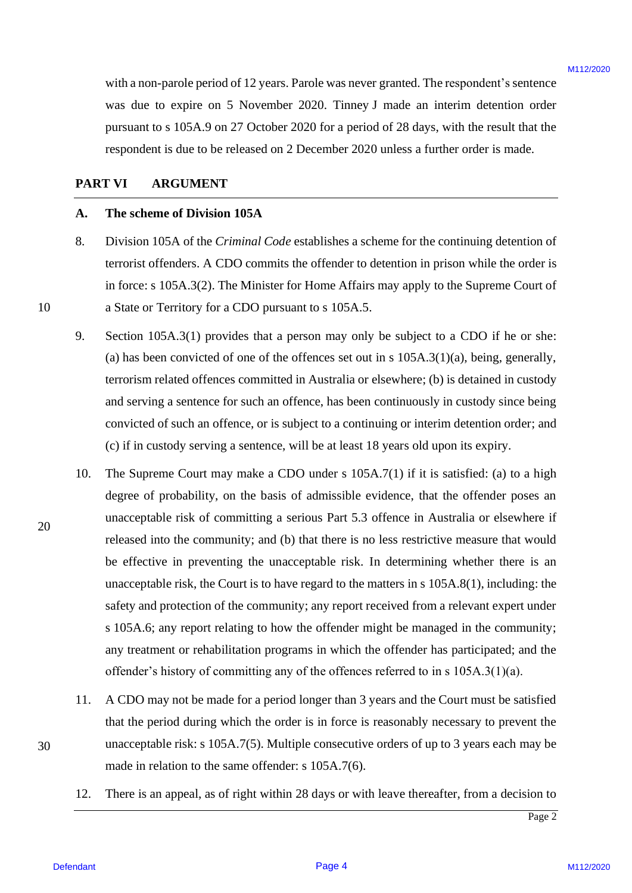with a non-parole period of 12 years. Parole was never granted. The respondent's sentence with anon-parole period of <sup>12</sup> years. Parole was never granted. The respondent's sentence was due to expire on 5 November 2020. Tinney J made an interim detention order was due to expire on <sup>5</sup> November 2020. Tinney J made an interim detention order pursuant to s 105A.9 on 27 October 2020 for a period of 28 days, with the result that the pursuant to <sup>s</sup> 105A.9 on 27 October 2020 for <sup>a</sup> period of 28 days, with the result that the respondent is due to be released on 2 December 2020 unless a further order is made. respondent is due to be released on 2 December 2020 unless <sup>a</sup> further order is made.

### **PART VI ARGUMENT** PART VI ARGUMENT

### **A. The scheme of Division 105A** The scheme of Division 105A

- 8. Division 105A of the *Criminal Code* establishes a scheme for the continuing detention of Division 105A of the Criminal Code establishes a scheme for the continuing detention of terrorist offenders. A CDO commits the offender to detention in prison while the order is terrorist offenders. A CDO commits the offender to detention in prison while the order is in force: s 105A.3(2). The Minister for Home Affairs may apply to the Supreme Court of in force: <sup>s</sup> 105A.3(2). The Minister for Home Affairs may apply to the Supreme Court of a State or Territory for a CDO pursuant to s 105A.5. a State or Territory for <sup>a</sup> CDO pursuant to <sup>s</sup> 105A.5.
- 9. Section 105A.3(1) provides that a person may only be subject to a CDO if he or she: Section 105A.3(1) provides that <sup>a</sup> person may only be subject to a CDO if he or she: (a) has been convicted of one of the offences set out in s  $105A.3(1)(a)$ , being, generally, terrorism related offences committed in Australia or elsewhere; (b) is detained in custody terrorism related offences committed in Australia or elsewhere; (b) is detained in custody and serving a sentence for such an offence, has been continuously in custody since being and serving <sup>a</sup> sentence for such an offence, has been continuously in custody since being convicted of such an offence, or is subject to a continuing or interim detention order; and convicted of such an offence, or is subject to <sup>a</sup> continuing or interim detention order; and (c) if in custody serving a sentence, will be at least 18 years old upon its expiry. (c) if in custody serving <sup>a</sup> sentence, will be at least <sup>18</sup> years old upon its expiry.
- 10. The Supreme Court may make a CDO under s 105A.7(1) if it is satisfied: (a) to a high degree of probability, on the basis of admissible evidence, that the offender poses an degree of probability, on the basis of admissible evidence, that the offender poses an unacceptable risk of committing a serious Part 5.3 offence in Australia or elsewhere if unacceptable risk of committing <sup>a</sup> serious Part 5.3 offence in Australia or elsewhere if released into the community; and (b) that there is no less restrictive measure that would be effective in preventing the unacceptable risk. In determining whether there is an be effective in preventing the unacceptable risk. In determining whether there is an unacceptable risk, the Court is to have regard to the matters in s 105A.8(1), including: the unacceptable risk, the Court is to have regard to the matters in <sup>s</sup> 105A.8(1), including: the safety and protection of the community; any report received from a relevant expert under safety and protection of the community; any report received from <sup>a</sup> relevant expert under s 105A.6; any report relating to how the offender might be managed in the community; <sup>s</sup> 105A.6; any report relating to how the offender might be managed in the community; any treatment or rehabilitation programs in which the offender has participated; and the any treatment or rehabilitation programs in which the offender has participated; and the offender's history of committing any of the offences referred to in s 105A.3(1)(a). offender's history of committing any of the offences referred to in <sup>s</sup> 105A.3(1)(a). with a non-panole period of 12 years. Panole was never gravied. The respondent's surface was due to explore the Society of 1200. There is the content of the state of the system of the system of the system of the system of 10.
	- 11. A CDO may not be made for a period longer than 3 years and the Court must be satisfied A CDO may not be made for <sup>a</sup> period longer than <sup>3</sup> years and the Court must be satisfied that the period during which the order is in force is reasonably necessary to prevent the that the period during which the order is in force is reasonably necessary to prevent the unacceptable risk: s 105A.7(5). Multiple consecutive orders of up to 3 years each may be unacceptable risk: <sup>s</sup> 105A.7(5). Multiple consecutive orders of up to <sup>3</sup> years each may be made in relation to the same offender: s 105A.7(6). made in relation to the same offender: <sup>s</sup> 105A.7(6). 11.
	- 12. There is an appeal, as of right within 28 days or with leave thereafter, from a decision to There is an appeal, as of right within 28 days or with leave thereafter, from <sup>a</sup> decision to 12.

10 10

20 20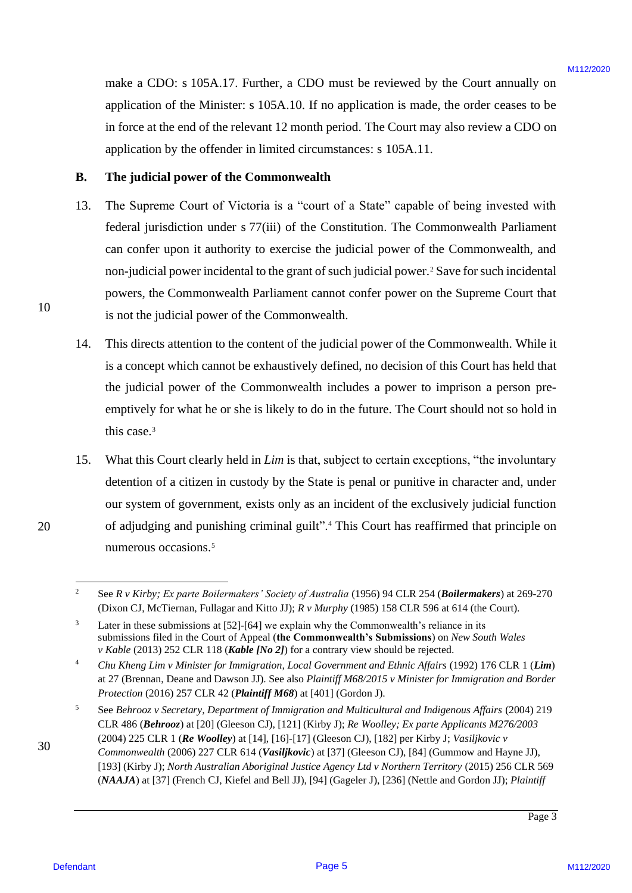make a CDO: s 105A.17. Further, a CDO must be reviewed by the Court annually on make a CDO: <sup>s</sup> 105A.17. Further, <sup>a</sup> CDO must be reviewed by the Court annually on application of the Minister: s 105A.10. If no application is made, the order ceases to be application of the Minister: <sup>s</sup> 105A.10. If no application is made, the order ceases to be in force at the end of the relevant 12 month period. The Court may also review a CDO on in force at the end of the relevant <sup>12</sup> month period. The Court may also review <sup>a</sup> CDO on application by the offender in limited circumstances: s 105A.11. application by the offender in limited circumstances: <sup>s</sup> 105A.11.

### **B. The judicial power of the Commonwealth** The judicial power of the Commonwealth

- 13. The Supreme Court of Victoria is a "court of a State" capable of being invested with The Supreme Court of Victoria is a "court of <sup>a</sup> State" capable of being invested with federal jurisdiction under s 77(iii) of the Constitution. The Commonwealth Parliament federal jurisdiction under <sup>s</sup> 77(iii) of the Constitution. The Commonwealth Parliament can confer upon it authority to exercise the judicial power of the Commonwealth, and non-judicial power incidental to the grant of such judicial power.<sup>2</sup> Save for such incidental powers, the Commonwealth Parliament cannot confer power on the Supreme Court that powers, the Commonwealth Parliament cannot confer power on the Supreme Court that is not the judicial power of the Commonwealth. is not the judicial power of the Commonwealth. rmix a CIMEs a USA.17, Further, a CIM must be reviewed by the Court aroundly on<br>application of the Minister s 1005. All 20 or proplication is under, the other cases to be<br>nother cases of the Minister s 1005.<br>All 2020 or t 13.
	- 14. This directs attention to the content of the judicial power of the Commonwealth. While it This directs attention to the content of the judicial power of the Commonwealth. While it is a concept which cannot be exhaustively defined, no decision of this Court has held that is <sup>a</sup> concept which cannot be exhaustively defined, no decision of this Court has held that the judicial power of the Commonwealth includes a power to imprison a person pre-the judicial power of the Commonwealth includes <sup>a</sup> power to imprison <sup>a</sup> person preemptively for what he or she is likely to do in the future. The Court should not so hold in emptively for what he or she is likely to do in the future. The Court should not so hold in this case.<sup>3</sup> 14.
	- 15. What this Court clearly held in *Lim* is that, subject to certain exceptions, "the involuntary What this Court clearly held in Lim is that, subject to certain exceptions, "the involuntary detention of a citizen in custody by the State is penal or punitive in character and, under detention of a citizen in custody by the State is penal or punitive in character and, under our system of government, exists only as an incident of the exclusively judicial function of adjudging and punishing criminal guilt".<sup>4</sup> This Court has reaffirmed that principle on numerous occasions.<sup>5</sup> numerous occasions.° 15.

10 10

<sup>&</sup>lt;sup>2</sup> See R v Kirby; Ex parte Boilermakers' Society of Australia (1956) 94 CLR 254 (Boilermakers) at 269-270 (Dixon CJ, McTiernan, Fullagar and Kitto JJ); *R v Murphy* (1985) 158 CLR 596 at 614 (the Court). (Dixon CJ, McTiernan, Fullagar and Kitto JJ); R v Murphy (1985) 158 CLR 596 at 614 (the Court).

 $3$  Later in these submissions at [52]-[64] we explain why the Commonwealth's reliance in its submissions filed in the Court of Appeal (**the Commonwealth's Submissions**) on *New South Wales*  submissions filed in the Court of Appeal (the Commonwealth's Submissions) on New South Wales *v Kable* (2013) 252 CLR 118 (*Kable [No 2]*) for a contrary view should be rejected.

<sup>&</sup>lt;sup>4</sup> Chu Kheng Lim v Minister for Immigration, Local Government and Ethnic Affairs (1992) 176 CLR 1 (Lim) at 27 (Brennan, Deane and Dawson JJ). See also Plaintiff M68/2015 v Minister for Immigration and Border Protection (2016) 257 CLR 42 (*Plaintiff M68*) at [401] (Gordon J).

<sup>5</sup> See *Behrooz v Secretary, Department of Immigration and Multicultural and Indigenous Affairs* (2004) 219 See Behrooz v Secretary, Department ofImmigration and Multicultural and Indigenous Affairs (2004) 219 CLR 486 (*Behrooz*) at [20] (Gleeson CJ), [121] (Kirby J); *Re Woolley; Ex parte Applicants M276/2003* CLR 486 (Behrooz) at [20] (Gleeson CJ), [121] (Kirby J); Re Woolley; Ex parte Applicants M276/2003 (2004) 225 CLR 1 (*Re Woolley*) at [14], [16]-[17] (Gleeson CJ), [182] per Kirby J; *Vasiljkovic v*  (2004) 225 CLR 1(Re Woolley) at [14], [16]-[17] (Gleeson CJ), [182] per Kirby J; Vasiljkovic v

<sup>30</sup> 30 Commonwealth (2006) 227 CLR 614 (Vasiljkovic) at [37] (Gleeson CJ), [84] (Gummow and Hayne JJ), [193] (Kirby J); *North Australian Aboriginal Justice Agency Ltd v Northern Territory* (2015) 256 CLR 569 [193] (Kirby J); North Australian Aboriginal Justice Agency Ltd v Northern Territory(2015) 256 CLR 569 (NAAJA) at [37] (French CJ, Kiefel and Bell JJ), [94] (Gageler J), [236] (Nettle and Gordon JJ); Plaintiff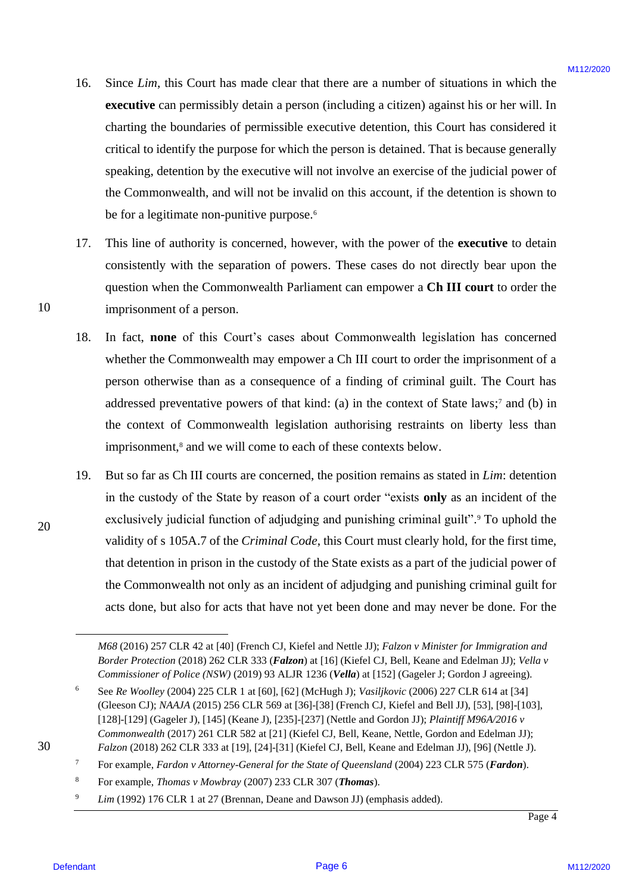- 16. Since *Lim*, this Court has made clear that there are a number of situations in which the Since Lim, this Court has made clear that there are a number of situations in which the executive can permissibly detain a person (including a citizen) against his or her will. In charting the boundaries of permissible executive detention, this Court has considered it critical to identify the purpose for which the person is detained. That is because generally critical to identify the purpose for which the person is detained. That is because generally speaking, detention by the executive will not involve an exercise of the judicial power of speaking, detention by the executive will not involve an exercise of the judicial power of the Commonwealth, and will not be invalid on this account, if the detention is shown to be for a legitimate non-punitive purpose.<sup>6</sup> 16.
- 17. This line of authority is concerned, however, with the power of the **executive** to detain consistently with the separation of powers. These cases do not directly bear upon the consistently with the separation of powers. These cases do not directly bear upon the question when the Commonwealth Parliament can empower a **Ch III court** to order the question when the Commonwealth Parliament can empower <sup>a</sup> Ch III court to order the imprisonment of a person. imprisonment of <sup>a</sup> person. 17.
- 18. In fact, none of this Court's cases about Commonwealth legislation has concerned whether the Commonwealth may empower a Ch III court to order the imprisonment of a whether the Commonwealth may empower <sup>a</sup> Ch III court to order the imprisonment of a person otherwise than as a consequence of a finding of criminal guilt. The Court has person otherwise than as a consequence of <sup>a</sup> finding of criminal guilt. The Court has addressed preventative powers of that kind: (a) in the context of State laws; <sup>7</sup> and (b) in addressed preventative powers of that kind: (a) in the context of State laws;' and (b) in the context of Commonwealth legislation authorising restraints on liberty less than the context of Commonwealth legislation authorising restraints on liberty less than imprisonment,<sup>8</sup> and we will come to each of these contexts below. 18.
- 19. But so far as Ch III courts are concerned, the position remains as stated in *Lim*: detention But so far as Ch III courts are concerned, the position remains as stated in Lim: detention in the custody of the State by reason of a court order "exists **only** as an incident of the in the custody of the State by reason of <sup>a</sup> court order "exists only as an incident of the exclusively judicial function of adjudging and punishing criminal guilt". <sup>9</sup> To uphold the exclusively judicial function of adjudging and punishing criminal guilt".° To uphold the validity of s 105A.7 of the *Criminal Code*, this Court must clearly hold, for the first time, validity of <sup>s</sup> 105A.7 of the Criminal Code, this Court must clearly hold, for the first time, that detention in prison in the custody of the State exists as a part of the judicial power of that detention in prison in the custody of the State exists as <sup>a</sup> part of the judicial power of the Commonwealth not only as an incident of adjudging and punishing criminal guilt for the Commonwealth not only as an incident of adjudging and punishing criminal guilt for acts done, but also for acts that have not yet been done and may never be done. For the acts done, but also for acts that have not yet been done and may never be done. For the 16. Since *Line*, this Count has roads clear that there are a manther of situations, in which the exertainties of each contrine controlled a climate of the original and the original of the original particular original par 19.
- <sup>7</sup> For example, *Fardon v Attorney-General for the State of Queensland* (2004) 223 CLR 575 (*Fardon*). For example, Fardon v Attorney-Generalfor the State of Queensland(2004) 223 CLR 575 (Fardon).
	- <sup>8</sup> For example, *Thomas v Mowbray* (2007) 233 CLR 307 (*Thomas*). For example, Thomas v Mowbray (2007) 233 CLR 307 (Thomas).
	- <sup>9</sup> *Lim* (1992) 176 CLR 1 at 27 (Brennan, Deane and Dawson JJ) (emphasis added).

10 10

M68 (2016) 257 CLR 42 at [40] (French CJ, Kiefel and Nettle JJ); *Falzon v Minister for Immigration and* Border Protection (2018) 262 CLR 333 (Falzon) at [16] (Kiefel CJ, Bell, Keane and Edelman JJ); Vella v Commissioner of Police (NSW) (2019) 93 ALJR 1236 (Vella) at [152] (Gageler J; Gordon J agreeing).

<sup>6</sup> See *Re Woolley* (2004) 225 CLR 1 at [60], [62] (McHugh J); *Vasiljkovic* (2006) 227 CLR 614 at [34] See Re Woolley (2004) 225 CLR 1 at [60], [62] (McHugh J); Vasiljkovic (2006) 227 CLR 614 at [34] (Gleeson CJ); *NAAJA* (2015) 256 CLR 569 at [36]-[38] (French CJ, Kiefel and Bell JJ), [53], [98]-[103], (Gleeson CJ); NAAJA (2015) 256 CLR 569 at [36]-[38] (French CJ, Kiefel and Bell JJ), [53], [98]-[103], [128]-[129] (Gageler J), [145] (Keane J), [235]-[237] (Nettle and Gordon JJ); *Plaintiff M96A/2016 v*  [128]-[129] (Gageler J), [145] (Keane J), [235]-[237] (Nettle and Gordon JJ); Plaintiff M96A/2016 v Commonwealth (2017) 261 CLR 582 at [21] (Kiefel CJ, Bell, Keane, Nettle, Gordon and Edelman JJ); *Falzon* (2018) 262 CLR 333 at [19], [24]-[31] (Kiefel CJ, Bell, Keane and Edelman JJ), [96] (Nettle J). Falzon (2018) 262 CLR 333 at [19], [24]-[31] (Kiefel CJ, Bell, Keane and Edelman JJ), [96] (Nettle J).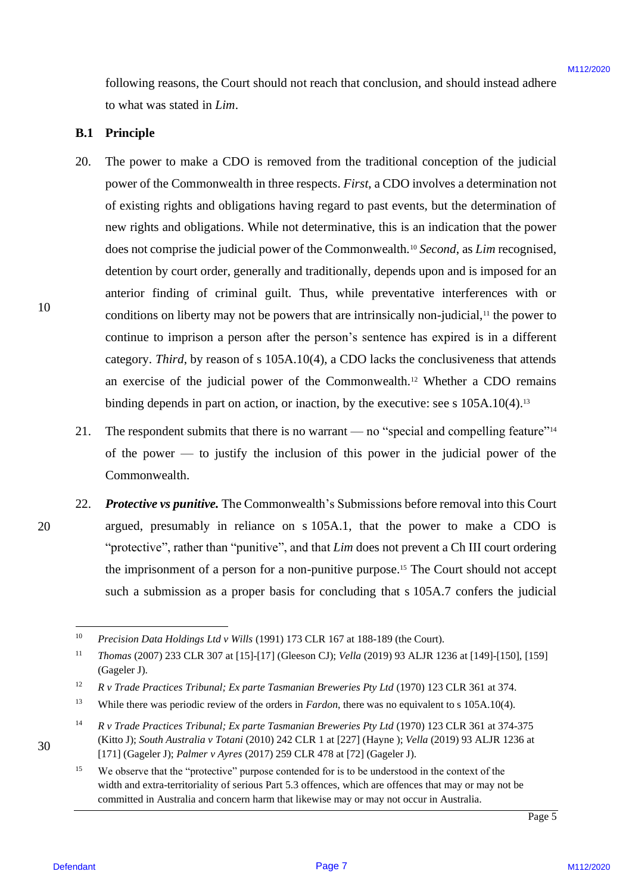following reasons, the Court should not reach that conclusion, and should instead adhere following reasons, the Court should not reach that conclusion, and should instead adhere to what was stated in *Lim*. to what was stated in Lim.

### **B.1 Principle** B.1 Principle

- 20. The power to make a CDO is removed from the traditional conception of the judicial The power to make a CDO is removed from the traditional conception of the judicial power of the Commonwealth in three respects. First, a CDO involves a determination not of existing rights and obligations having regard to past events, but the determination of of existing rights and obligations having regard to past events, but the determination of new rights and obligations. While not determinative, this is an indication that the power new rights and obligations. While not determinative, this is an indication that the power does not comprise the judicial power of the Commonwealth.<sup>10</sup> Second, as Lim recognised, detention by court order, generally and traditionally, depends upon and is imposed for an anterior finding of criminal guilt. Thus, while preventative interferences with or anterior finding of criminal guilt. Thus, while preventative interferences with or conditions on liberty may not be powers that are intrinsically non-judicial,<sup>11</sup> the power to continue to imprison a person after the person's sentence has expired is in a different category. Third, by reason of s 105A.10(4), a CDO lacks the conclusiveness that attends an exercise of the judicial power of the Commonwealth. <sup>12</sup> Whether a CDO remains an exercise of the judicial power of the Commonwealth.'? Whether <sup>a</sup> CDO remains binding depends in part on action, or inaction, by the executive: see s 105A.10(4).<sup>13</sup> Influencing reasons, the Causti shundi nu reach-that conclusion, and shootd instead as<br>the value of the CMC interaction of the page 1911-18/2020<br>
B. The proper to reade a CDO is represent from the traditional correspond o 20.
	- 21. The respondent submits that there is no warrant no "special and compelling feature"<sup>14</sup> of the power  $-$  to justify the inclusion of this power in the judicial power of the Commonwealth. Commonwealth. 21.
- 22. Protective vs punitive. The Commonwealth's Submissions before removal into this Court argued, presumably in reliance on s 105A.1, that the power to make a CDO is argued, presumably in reliance on <sup>s</sup> 105A.1, that the power to make a CDO is "protective", rather than "punitive", and that *Lim* does not prevent a Ch III court ordering the imprisonment of a person for a non-punitive purpose.<sup>15</sup> The Court should not accept such a submission as a proper basis for concluding that s 105A.7 confers the judicial

10 10

<sup>10</sup> *Precision Data Holdings Ltd v Wills* (1991) 173 CLR 167 at 188-189 (the Court). Precision Data Holdings Ltd v Wills (1991) 173 CLR 167 at 188-189 (the Court).

<sup>11</sup> *Thomas* (2007) 233 CLR 307 at [15]-[17] (Gleeson CJ); *Vella* (2019) 93 ALJR 1236 at [149]-[150], [159] Thomas (2007) 233 CLR 307 at [15]-[17] (Gleeson CJ); Vella (2019) 93 ALJR 1236 at [149]-[150], [159] (Gageler J). (Gageler J).

<sup>12</sup> *R v Trade Practices Tribunal; Ex parte Tasmanian Breweries Pty Ltd* (1970) 123 CLR 361 at 374. <sup>R</sup> v Trade Practices Tribunal; Ex parte Tasmanian Breweries Pty Ltd (1970) 123 CLR 361 at 374.

<sup>13</sup> While there was periodic review of the orders in *Fardon*, there was no equivalent to s 105A.10(4). While there was periodic review of the orders in Fardon, there was no equivalent to s 105A.10(4).

<sup>14</sup> *R v Trade Practices Tribunal; Ex parte Tasmanian Breweries Pty Ltd* (1970) 123 CLR 361 at 374-375 <sup>R</sup> v Trade Practices Tribunal; Ex parte Tasmanian Breweries Pty Ltd (1970) 123 CLR 361 at 374-375 (Kitto J); *South Australia v Totani* (2010) 242 CLR 1 at [227] (Hayne); *Vella* (2019) 93 ALJR 1236 at [171] (Gageler J); *Palmer v Ayres* (2017) 259 CLR 478 at [72] (Gageler J). [171] (Gageler J); Palmer v Ayres (2017) 259 CLR 478 at [72] (Gageler J).

<sup>&</sup>lt;sup>15</sup> We observe that the "protective" purpose contended for is to be understood in the context of the width and extra-territoriality of serious Part 5.3 offences, which are offences that may or may not be width and extra-territoriality of serious Part 5.3 offences, which are offences that may or may not be committed in Australia and concern harm that likewise may or may not occur in Australia. committed in Australia and concern harm that likewise may or may not occur in Australia.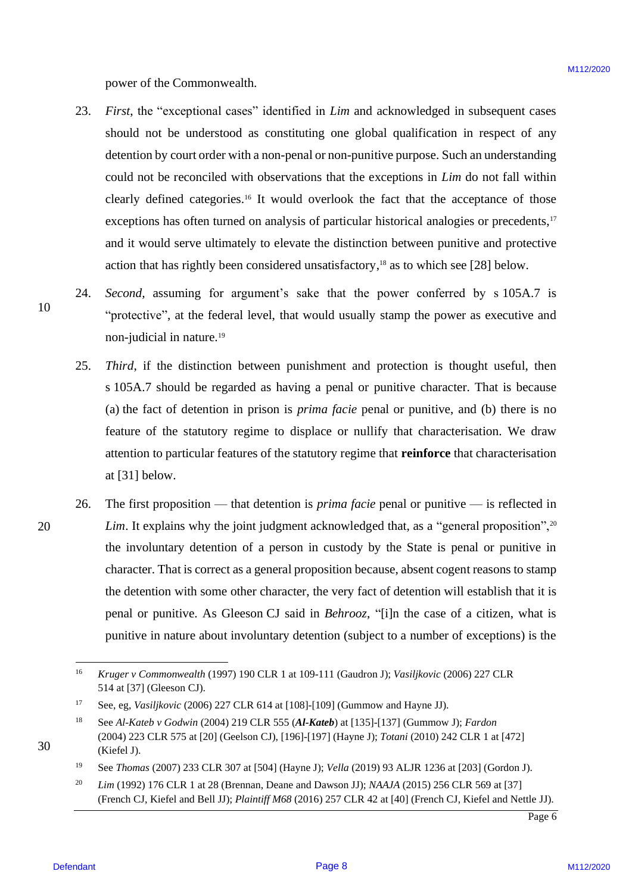power of the Commonwealth. power of the Commonwealth.

- 23. *First*, the "exceptional cases" identified in *Lim* and acknowledged in subsequent cases 23. First, the "exceptional cases" identified in Lim and acknowledged in subsequent cases should not be understood as constituting one global qualification in respect of any should not be understood as constituting one global qualification in respect of any detention by court order with a non-penal or non-punitive purpose. Such an understanding detention by court order with <sup>a</sup> non-penal or non-punitive purpose. Such an understanding could not be reconciled with observations that the exceptions in *Lim* do not fall within clearly defined categories.<sup>16</sup> It would overlook the fact that the acceptance of those exceptions has often turned on analysis of particular historical analogies or precedents,<sup>17</sup> and it would serve ultimately to elevate the distinction between punitive and protective and it would serve ultimately to elevate the distinction between punitive and protective action that has rightly been considered unsatisfactory, <sup>18</sup> as to which see [28] below. action that has rightly been considered unsatisfactory,'\* as to which see [28] below. prove of the Commensculin.<br>
23. *Disc*, the "exceptional nume" identified in *FIB* and acknowledged in sature<br>provident cases. Some that the sature interest of any denoted by controller to the method of the computation of
	- 24. *Second,* assuming for argument's sake that the power conferred by s 105A.7 is Second, assuming for argument's sake that the power conferred by <sup>s</sup> 105A.7 is "protective", at the federal level, that would usually stamp the power as executive and non-judicial in nature. 19 non-judicial in nature.'° 24.
		- 25. *Third*, if the distinction between punishment and protection is thought useful, then s 105A.7 should be regarded as having a penal or punitive character. That is because <sup>s</sup> 105A.7 should be regarded as having <sup>a</sup> penal or punitive character. That is because (a) the fact of detention in prison is *prima facie* penal or punitive, and (b) there is no feature of the statutory regime to displace or nullify that characterisation. We draw feature of the statutory regime to displace or nullify that characterisation. We draw attention to particular features of the statutory regime that **reinforce** that characterisation attention to particular features of the statutory regime that reinforce that characterisation at [31] below. at [31] below. 25.
- 26. The first proposition that detention is *prima facie* penal or punitive is reflected in Lim. It explains why the joint judgment acknowledged that, as a "general proposition",<sup>20</sup> the involuntary detention of a person in custody by the State is penal or punitive in the involuntary detention of <sup>a</sup> person in custody by the State is penal or punitive in character. That is correct as a general proposition because, absent cogent reasons to stamp character. That is correct as <sup>a</sup> general proposition because, absent cogent reasons to stamp the detention with some other character, the very fact of detention will establish that it is the detention with some other character, the very fact of detention will establish that it is penal or punitive. As Gleeson CJ said in *Behrooz*, "[i]n the case of a citizen, what is penal or punitive. As Gleeson CJ said in Behrooz, "[i]n the case of <sup>a</sup> citizen, what is punitive in nature about involuntary detention (subject to a number of exceptions) is the punitive in nature about involuntary detention (subject to <sup>a</sup> number of exceptions) is the 26.

Page 6

10 10

<sup>16</sup> *Kruger v Commonwealth* (1997) 190 CLR 1 at 109-111 (Gaudron J); *Vasiljkovic* (2006) 227 CLR Kruger v Commonwealth (1997) 190 CLR | at 109-111 (Gaudron J); Vasiljkovic (2006) 227 CLR 514 at [37] (Gleeson CJ). 514 at [37] (Gleeson CJ).

<sup>17</sup> See, eg, *Vasiljkovic* (2006) 227 CLR 614 at [108]-[109] (Gummow and Hayne JJ). See, eg, Vasiljkovic (2006) 227 CLR 614 at [108]-[109] (Gummow and Hayne JJ).

<sup>18</sup> See *Al-Kateb v Godwin* (2004) 219 CLR 555 (*Al-Kateb*) at [135]-[137] (Gummow J); *Fardon* See Al-Kateb <sup>v</sup> Godwin (2004) 219 CLR 555 (Al-Kateb) at [135]-[137] (Gummow J); Fardon (2004) 223 CLR 575 at [20] (Geelson CJ), [196]-[197] (Hayne J); *Totani* (2010) 242 CLR 1 at [472] (2004) <sup>223</sup> CLR <sup>575</sup> at [20] (Geelson CJ), [196]-[197] (Hayne J); Totani (2010) <sup>242</sup> CLR1at [472] (Kiefel J). (Kiefel J).

<sup>19</sup> See *Thomas* (2007) 233 CLR 307 at [504] (Hayne J); *Vella* (2019) 93 ALJR 1236 at [203] (Gordon J). See Thomas (2007) 233 CLR 307 at [504] (Hayne J); Vella(2019) 93 ALJR 1236 at [203] (Gordon J).

 $20$  *Lim* (1992) 176 CLR 1 at 28 (Brennan, Deane and Dawson JJ); *NAAJA* (2015) 256 CLR 569 at [37] (French CJ, Kiefel and Bell JJ); *Plaintiff M68* (2016) 257 CLR 42 at [40] (French CJ, Kiefel and Nettle JJ). 20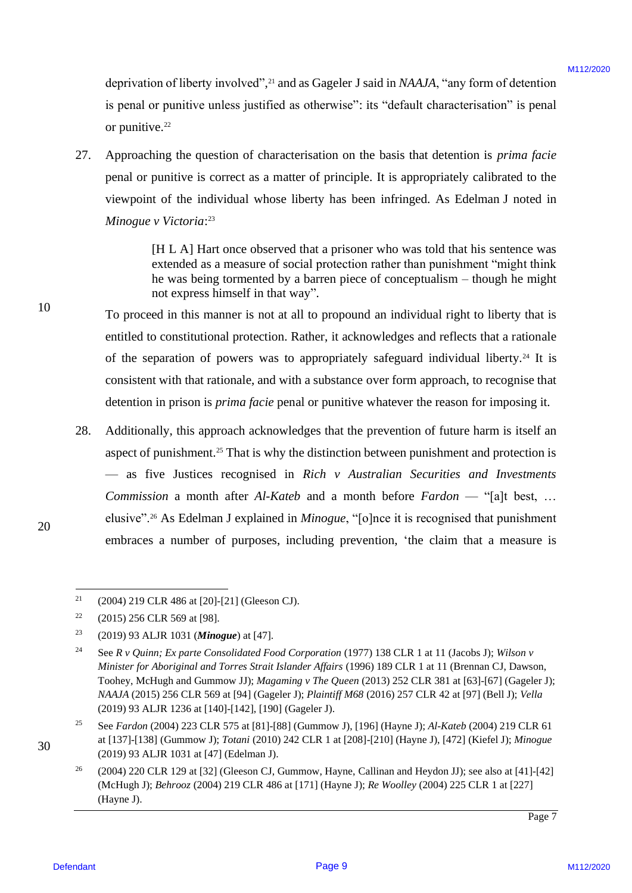deprivation of liberty involved",<sup>21</sup> and as Gageler J said in *NAAJA*, "any form of detention is penal or punitive unless justified as otherwise": its "default characterisation" is penal is penal or punitive unless justified as otherwise": its "default characterisation" is penal or punitive.<sup>22</sup>

27. Approaching the question of characterisation on the basis that detention is *prima facie* Approaching the question of characterisation on the basis that detention 1s prima faciepenal or punitive is correct as a matter of principle. It is appropriately calibrated to the penal or punitive is correct as a matter of principle. It is appropriately calibrated to the viewpoint of the individual whose liberty has been infringed. As Edelman J noted in viewpoint of the individual whose liberty has been infringed. As Edelman <sup>J</sup> noted in *Minogue v Victoria*: 23 Minogue v Victoria: 27.

> [H L A] Hart once observed that a prisoner who was told that his sentence was [H L A] Hart once observed that a prisoner who was told that his sentence was extended as a measure of social protection rather than punishment "might think extended as a measure of social protection rather than punishment "might think he was being tormented by a barren piece of conceptualism – though he might he was being tormented by <sup>a</sup> barren piece of conceptualism — though he might not express himself in that way". not express himself in that way".

To proceed in this manner is not at all to propound an individual right to liberty that is To proceed in this manner is not at all to propound an individual right to liberty that is entitled to constitutional protection. Rather, it acknowledges and reflects that a rationale of the separation of powers was to appropriately safeguard individual liberty.<sup>24</sup> It is consistent with that rationale, and with a substance over form approach, to recognise that detention in prison is *prima facie* penal or punitive whatever the reason for imposing it.

28. Additionally, this approach acknowledges that the prevention of future harm is itself an Additionally, this approach acknowledges that the prevention of future harm is itself an aspect of punishment.<sup>25</sup> That is why the distinction between punishment and protection is — as five Justices recognised in *Rich v Australian Securities and Investments*  —as five Justices recognised in Rich v Australian Securities and Investments *Commission* a month after *Al-Kateb* and a month before *Fardon* — "[a]t best, … Commission a month after Al-Kateb and <sup>a</sup> month before Fardon —"{al]t best, ... elusive".<sup>26</sup> As Edelman J explained in *Minogue*, "[o]nce it is recognised that punishment embraces a number of purposes, including prevention, 'the claim that a measure is deprivation of likery involved<sup>1</sup>,<sup>2</sup> and as Cageler J said in MALA, "sary farm of determining in equal of penaltiple eigens positive delay specifies of the penaltiple of penaltiple eigens of the method of the penaltiple 28.

20 20

 $21$  (2004) 219 CLR 486 at [20]-[21] (Gleeson CJ). 21

 $22$  (2015) 256 CLR 569 at [98]. 22

<sup>23</sup> (2019) 93 ALJR 1031 (*Minogue*) at [47]. (2019) <sup>93</sup> ALIR 1031 (Minogue) at [47]. 23

<sup>24</sup> See *R v Quinn; Ex parte Consolidated Food Corporation* (1977) 138 CLR 1 at 11 (Jacobs J); *Wilson v*  See R v Quinn; Ex parte Consolidated Food Corporation (1977) 138 CLR 1at <sup>11</sup> (Jacobs J); Wilson v *Minister for Aboriginal and Torres Strait Islander Affairs* (1996) 189 CLR 1 at 11 (Brennan CJ, Dawson, Ministerfor Aboriginal and Torres Strait Islander Affairs (1996) <sup>189</sup> CLR 1 at <sup>11</sup> (Brennan CJ, Dawson, Toohey, McHugh and Gummow JJ); *Magaming v The Queen* (2013) 252 CLR 381 at [63]-[67] (Gageler J); Toohey, McHugh and Gummow JJ); Magaming v The Queen (2013) 252 CLR 381 at [63]-[67] (Gageler J); *NAAJA* (2015) 256 CLR 569 at [94] (Gageler J); *Plaintiff M68* (2016) 257 CLR 42 at [97] (Bell J); *Vella* NAAJA (2015) 256 CLR 569 at [94] (Gageler J); Plaintiff M68 (2016) 257 CLR 42 at [97] (Bell J); Vella(2019) 93 ALJR 1236 at [140]-[142], [190] (Gageler J). (2019) 93 ALJR 1236 at [140]-[142], [190] (Gageler J).  $24$ 

<sup>25</sup> See *Fardon* (2004) 223 CLR 575 at [81]-[88] (Gummow J), [196] (Hayne J); *Al-Kateb* (2004) 219 CLR 61 See Fardon (2004) 223 CLR 575 at [81]-[88] (Gummow J), [196] (Hayne J); Al-Kateb (2004) 219 CLR 61 at [137]-[138] (Gummow J); *Totani* (2010) 242 CLR 1 at [208]-[210] (Hayne J), [472] (Kiefel J); *Minogue* (2019) 93 ALJR 1031 at [47] (Edelman J). (2019) 93 ALJR 1031 at [47] (Edelman J). 25

<sup>&</sup>lt;sup>26</sup> (2004) 220 CLR 129 at [32] (Gleeson CJ, Gummow, Hayne, Callinan and Heydon JJ); see also at [41]-[42] (McHugh J); *Behrooz* (2004) 219 CLR 486 at [171] (Hayne J); *Re Woolley* (2004) 225 CLR 1 at [227] (McHugh J); Behrooz (2004) 219 CLR 486 at [171] (Hayne J); Re Woolley (2004) 225 CLR 1 at [227] (Hayne J). (Hayne J). 26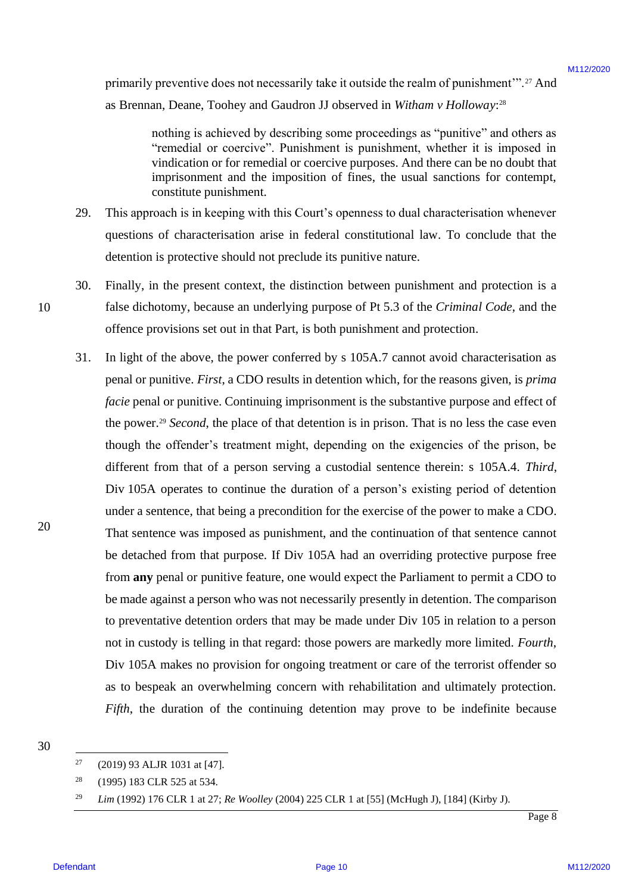primarily preventive does not necessarily take it outside the realm of punishment".<sup>27</sup> And as Brennan, Deane, Toohey and Gaudron JJ observed in Witham v Holloway:<sup>28</sup>

> nothing is achieved by describing some proceedings as "punitive" and others as nothing is achieved by describing some proceedings as "punitive" and others as "remedial or coercive". Punishment is punishment, whether it is imposed in "remedial or coercive". Punishment is punishment, whether it is imposed in vindication or for remedial or coercive purposes. And there can be no doubt that vindication or for remedial or coercive purposes. And there can be no doubt that imprisonment and the imposition of fines, the usual sanctions for contempt, imprisonment and the imposition of fines, the usual sanctions for contempt, constitute punishment. constitute punishment.

- 29. This approach is in keeping with this Court's openness to dual characterisation whenever This approach is in keeping with this Court's openness to dual characterisation whenever questions of characterisation arise in federal constitutional law. To conclude that the questions of characterisation arise in federal constitutional law. To conclude that the detention is protective should not preclude its punitive nature. detention is protective should not preclude its punitive nature. 29.
- 30. Finally, in the present context, the distinction between punishment and protection is a Finally, in the present context, the distinction between punishment and protection is <sup>a</sup> false dichotomy, because an underlying purpose of Pt 5.3 of the *Criminal Code*, and the false dichotomy, because an underlying purpose of Pt 5.3 of the Criminal Code, and the offence provisions set out in that Part, is both punishment and protection. offence provisions set out in that Part, is both punishment and protection. 30.
- 31. In light of the above, the power conferred by s 105A.7 cannot avoid characterisation as In light of the above, the power conferred by <sup>s</sup> 105A.7 cannot avoid characterisation as penal or punitive. *First*, a CDO results in detention which, for the reasons given, is *prima*  penal or punitive. First, <sup>a</sup> CDO results in detention which, for the reasons given, is prima *facie* penal or punitive. Continuing imprisonment is the substantive purpose and effect of the power.<sup>29</sup> *Second*, the place of that detention is in prison. That is no less the case even though the offender's treatment might, depending on the exigencies of the prison, be though the offender's treatment might, depending on the exigencies of the prison, be different from that of a person serving a custodial sentence therein: s 105A.4. Third, Div 105A operates to continue the duration of a person's existing period of detention Div 105A operates to continue the duration of a person's existing period of detention under a sentence, that being a precondition for the exercise of the power to make a CDO. under a sentence, that being a precondition for the exercise of the power to make <sup>a</sup> CDO. That sentence was imposed as punishment, and the continuation of that sentence cannot That sentence was imposed as punishment, and the continuation of that sentence cannot be detached from that purpose. If Div 105A had an overriding protective purpose free be detached from that purpose. If Div 105A had an overriding protective purpose free from **any** penal or punitive feature, one would expect the Parliament to permit a CDO to from any penal or punitive feature, one would expect the Parliament to permit <sup>a</sup> CDO to be made against a person who was not necessarily presently in detention. The comparison be made against aperson who was not necessarily presently in detention. The comparison to preventative detention orders that may be made under Div 105 in relation to a person to preventative detention orders that may be made under Div 105 in relation to a person not in custody is telling in that regard: those powers are markedly more limited. *Fourth*, not in custody is telling in that regard: those powers are markedly more limited. Fourth, Div 105A makes no provision for ongoing treatment or care of the terrorist offender so Div 105A makes no provision for ongoing treatment or care of the terrorist offender so as to bespeak an overwhelming concern with rehabilitation and ultimately protection. as to bespeak an overwhelming concern with rehabilitation and ultimately protection. *Fifth*, the duration of the continuing detention may prove to be indefinite because Fifth, the duration of the continuing detention may prove to be indefinite because primarily precentive does not necessarily is ke is easieds be read on particulated.<br>
B Bremann, Decay, and Gostellon II observed in Window 17dolon-2021<br>
moding is achieved by describing some proceeding as "particle". To i 31.

 $27$  (2019) 93 ALJR 1031 at [47]. 27

<sup>28</sup> (1995) 183 CLR 525 at 534. (1995) 183 CLR 525 at 534. 28

<sup>29</sup> *Lim* (1992) 176 CLR 1 at 27; *Re Woolley* (2004) 225 CLR 1 at [55] (McHugh J), [184] (Kirby J). Lim (1992) <sup>176</sup> CLR 1at 27; Re Woolley(2004) 225 CLR1 at [55] (McHugh J), [184] (Kirby J). 29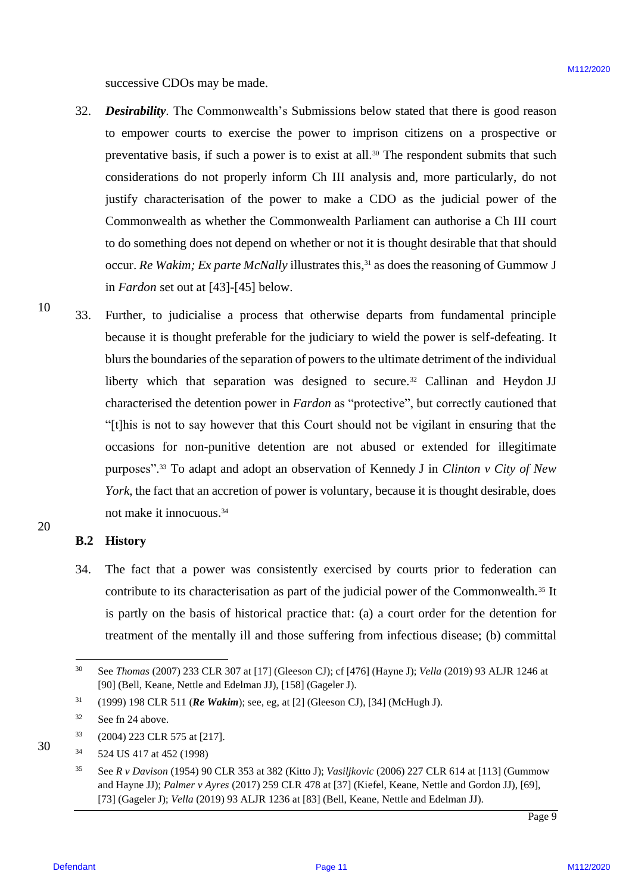successive CDOs may be made. successive CDOs may be made.

- 32. *Desirability*. The Commonwealth's Submissions below stated that there is good reason Desirability. The Commonwealth's Submissions below stated that there is good reason to empower courts to exercise the power to imprison citizens on a prospective or to empower courts to exercise the power to imprison citizens on <sup>a</sup> prospective or preventative basis, if such a power is to exist at all.<sup>30</sup> The respondent submits that such considerations do not properly inform Ch III analysis and, more particularly, do not considerations do not properly inform Ch III analysis and, more particularly, do not justify characterisation of the power to make a CDO as the judicial power of the justify characterisation of the power to make a CDO as the judicial power of the Commonwealth as whether the Commonwealth Parliament can authorise a Ch III court Commonwealth aswhether the Commonwealth Parliament can authorise <sup>a</sup> Ch III court to do something does not depend on whether or not it is thought desirable that that should to do something does not depend on whether or not it is thought desirable that that should occur. Re Wakim; Ex parte McNally illustrates this,<sup>31</sup> as does the reasoning of Gummow J in *Fardon* set out at [43]-[45] below. in Fardon set out at [43]-[45] below. 32.
- 10 10 33. Further, to judicialise a process that otherwise departs from fundamental principle Further, to judicialise a process that otherwise departs from fundamental principle because it is thought preferable for the judiciary to wield the power is self-defeating. It because it is thought preferable for the judiciary to wield the power is self-defeating. It blurs the boundaries of the separation of powers to the ultimate detriment of the individual blurs the boundaries of the separation of powers to the ultimate detriment of the individual liberty which that separation was designed to secure.<sup>32</sup> Callinan and Heydon JJ characterised the detention power in *Fardon* as "protective", but correctly cautioned that "[t]his is not to say however that this Court should not be vigilant in ensuring that the "[t]his is not to say however that this Court should not be vigilant in ensuring that the occasions for non-punitive detention are not abused or extended for illegitimate occasions for non-punitive detention are not abused or extended for illegitimate purposes".<sup>33</sup> To adapt and adopt an observation of Kennedy J in *Clinton v City of New* York, the fact that an accretion of power is voluntary, because it is thought desirable, does not make it innocuous.<sup>34</sup> states where CDNs may be made.<br>
32. Degreedries Steel conservated S. Submission below stated that there is good reasons to a may be conserved in the conserved in the proceed conserved in the second of the proceed in the m 33.

### **B.2 History** B.2 History

34. The fact that a power was consistently exercised by courts prior to federation can contribute to its characterisation as part of the judicial power of the Commonwealth.<sup>35</sup> It is partly on the basis of historical practice that: (a) a court order for the detention for is partly on the basis of historical practice that: (a) <sup>a</sup> court order for the detention for treatment of the mentally ill and those suffering from infectious disease; (b) committal treatment of the mentally ill and those suffering from infectious disease; (b) committal 34.

20 20

<sup>30</sup> See *Thomas* (2007) 233 CLR 307 at [17] (Gleeson CJ); cf [476] (Hayne J); *Vella* (2019) 93 ALJR 1246 at See Thomas (2007) 233 CLR 307 at [17] (Gleeson CJ); cf [476] (Hayne J); Vella (2019) 93 ALJR 1246 at [90] (Bell, Keane, Nettle and Edelman JJ), [158] (Gageler J). [90] (Bell, Keane, Nettle and Edelman JJ), [158] (Gageler J). 30

<sup>31</sup> (1999) 198 CLR 511 (*Re Wakim*); see, eg, at [2] (Gleeson CJ), [34] (McHugh J). (1999) 198 CLR 511 (Re Wakim); see, eg, at [2] (Gleeson CJ), [34] (McHugh J). 31

<sup>32</sup> See fn 24 above. See fn 24 above. 32

 $^{33}$  (2004) 223 CLR 575 at [217]. 33

<sup>34</sup> 524 US 417 at 452 (1998) 524 US 417 at 452 (1998) 34

<sup>35</sup> See *R v Davison* (1954) 90 CLR 353 at 382 (Kitto J); *Vasiljkovic* (2006) 227 CLR 614 at [113] (Gummow See <sup>R</sup> v Davison (1954) 90 CLR 353 at 382 (Kitto J); Vasiljkovic (2006) 227 CLR 614 at [113] (Gummow and Hayne JJ); *Palmer v Ayres* (2017) 259 CLR 478 at [37] (Kiefel, Keane, Nettle and Gordon JJ), [69], and Hayne JJ); Palmer v Ayres (2017) 259 CLR 478 at [37] (Kiefel, Keane, Nettle and Gordon JJ), [69], [73] (Gageler J); *Vella* (2019) 93 ALJR 1236 at [83] (Bell, Keane, Nettle and Edelman JJ). [73] (Gageler J); Vella (2019) 93 ALJR 1236 at [83] (Bell, Keane, Nettle and Edelman JJ). 35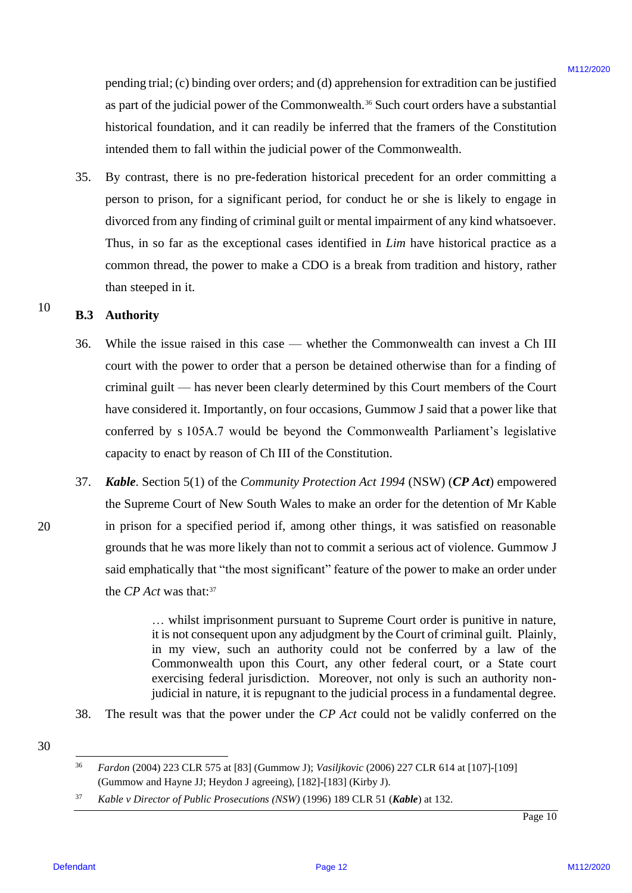pending trial; (c) binding over orders; and (d) apprehension for extradition can be justified pending trial; (c) binding over orders; and (d) apprehension for extradition can bejustified as part of the judicial power of the Commonwealth.<sup>36</sup> Such court orders have a substantial historical foundation, and it can readily be inferred that the framers of the Constitution historical foundation, and it can readily be inferred that the framers of the Constitution intended them to fall within the judicial power of the Commonwealth. intended them to fall within the judicial power of the Commonwealth.

35. By contrast, there is no pre-federation historical precedent for an order committing a 35. By contrast, there is no pre-federation historical precedent for an order committing <sup>a</sup> person to prison, for a significant period, for conduct he or she is likely to engage in person to prison, for <sup>a</sup> significant period, for conduct he or she is likely to engage in divorced from any finding of criminal guilt or mental impairment of any kind whatsoever. divorced from any finding of criminal guilt or mental impairment of any kind whatsoever. Thus, in so far as the exceptional cases identified in *Lim* have historical practice as a common thread, the power to make a CDO is a break from tradition and history, rather common thread, the power to make a CDO is a break from tradition and history, rather than steeped in it. than steeped in it. pendang trial; (c) binding over orders; and (d) approbants for extradition can be justified<br>as per of the justified power of the Commonwordh:<sup>2</sup> Stoch toront of the Commonwordh.<br>
Hoterical functions, and it can readily be

### 10 **B.3 Authority** B.3. Authority

- 36. While the issue raised in this case whether the Commonwealth can invest a Ch III 36. While the issue raised in this case whether the Commonwealth can invest a Ch III court with the power to order that a person be detained otherwise than for a finding of court with the power to order that a person be detained otherwise than for <sup>a</sup> finding of criminal guilt — has never been clearly determined by this Court members of the Court criminal guilt — has never been clearly determined by this Court members of the Court have considered it. Importantly, on four occasions, Gummow J said that a power like that have considered it. Importantly, on four occasions, Gummow J said that <sup>a</sup> power like that conferred by s 105A.7 would be beyond the Commonwealth Parliament's legislative conferred by <sup>s</sup> 105A.7 would be beyond the Commonwealth Parliament's legislative capacity to enact by reason of Ch III of the Constitution. capacity to enact by reason of Ch III of the Constitution.
- 37. *Kable*. Section 5(1) of the *Community Protection Act 1994* (NSW) (*CP Act*) empowered 37. Kable. Section 5(1) of the Community Protection Act 1994 (NSW) (CP Act) empowered the Supreme Court of New South Wales to make an order for the detention of Mr Kable the Supreme Court of New South Wales to make an order for the detention of Mr Kable in prison for a specified period if, among other things, it was satisfied on reasonable in prison for a specified period if, among other things, it was satisfied on reasonable grounds that he was more likely than not to commit a serious act of violence. Gummow J grounds that he was more likely than not to commita serious act of violence. Gummow <sup>J</sup> said emphatically that "the most significant" feature of the power to make an order under the *CP Act* was that:<sup>37</sup>

… whilst imprisonment pursuant to Supreme Court order is punitive in nature, ... whilst imprisonment pursuant to Supreme Court order is punitive in nature, it is not consequent upon any adjudgment by the Court of criminal guilt. Plainly, it is not consequent upon any adjudgment by the Court of criminal guilt. Plainly, in my view, such an authority could not be conferred by a law of the in my view, such an authority could not be conferred by <sup>a</sup> law of the Commonwealth upon this Court, any other federal court, or a State court Commonwealth upon this Court, any other federal court, or <sup>a</sup> State court exercising federal jurisdiction. Moreover, not only is such an authority non-exercising federal jurisdiction. Moreover, not only is such an authority nonjudicial in nature, it is repugnant to the judicial process in a fundamental degree. judicial in nature, it is repugnant to the judicial process in <sup>a</sup> fundamental degree.

38. The result was that the power under the *CP Act* could not be validly conferred on the 38. The result was that the power under the CP Act could not be validly conferred on the

30

20

<sup>37</sup> Kable v Director of Public Prosecutions (NSW) (1996) 189 CLR 51 (Kable) at 132.

<sup>36</sup> *Fardon* (2004) 223 CLR 575 at [83] (Gummow J); *Vasiljkovic* (2006) 227 CLR 614 at [107]-[109] <sup>36</sup> Fardon (2004) 223 CLR 575 at [83] (Gummow J); Vasiljkovic (2006) 227 CLR 614 at [107]-[109] (Gummow and Hayne JJ; Heydon J agreeing), [182]-[183] (Kirby J). (Gummow and Hayne JJ; Heydon J agreeing), [182]-[183] (Kirby J).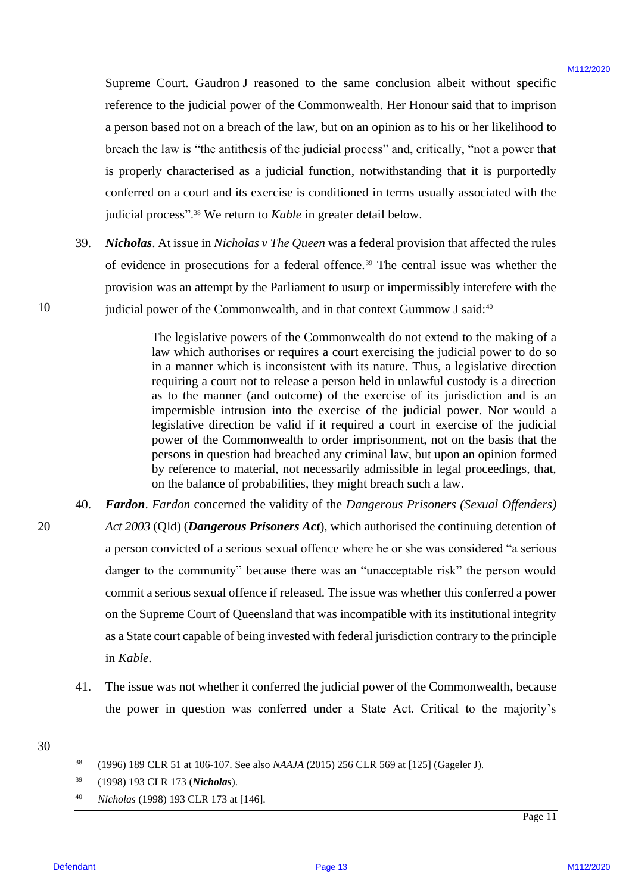Supreme Court. Gaudron J reasoned to the same conclusion albeit without specific Supreme Court. Gaudron J reasoned to the same conclusion albeit without specific reference to the judicial power of the Commonwealth. Her Honour said that to imprison reference to the judicial power of the Commonwealth. Her Honour said that to imprison a person based not on a breach of the law, but on an opinion as to his or her likelihood to a person based not on <sup>a</sup> breach of the law, but on an opinion as to his or her likelihood to breach the law is "the antithesis of the judicial process" and, critically, "not a power that breach the law is "the antithesis of the judicial process" and, critically, "not a power that is properly characterised as a judicial function, notwithstanding that it is purportedly conferred on a court and its exercise is conditioned in terms usually associated with the conferred on <sup>a</sup> court and its exercise is conditioned in terms usually associated with the judicial process".<sup>38</sup> We return to *Kable* in greater detail below.

39. *Nicholas*. At issue in *Nicholas v The Queen* was a federal provision that affected the rules 39. Nicholas. At issue in Nicholas v The Queen was <sup>a</sup> federal provision that affected the rules of evidence in prosecutions for a federal offence.<sup>39</sup> The central issue was whether the provision was an attempt by the Parliament to usurp or impermissibly interefere with the provision was an attempt by the Parliament to usurp or impermissibly interefere with the judicial power of the Commonwealth, and in that context Gummow J said:<sup>40</sup>

> The legislative powers of the Commonwealth do not extend to the making of a The legislative powers of the Commonwealth do not extend to the making of <sup>a</sup> law which authorises or requires a court exercising the judicial power to do so law which authorises or requires <sup>a</sup> court exercising the judicial power to do so in a manner which is inconsistent with its nature. Thus, a legislative direction in <sup>a</sup> manner which is inconsistent with its nature. Thus, <sup>a</sup> legislative direction requiring a court not to release a person held in unlawful custody is a direction requiring <sup>a</sup> court not to release <sup>a</sup> person held in unlawful custody is <sup>a</sup> direction as to the manner (and outcome) of the exercise of its jurisdiction and is an as to the manner (and outcome) of the exercise of its jurisdiction and is an impermisble intrusion into the exercise of the judicial power. Nor would a impermisble intrusion into the exercise of the judicial power. Nor would <sup>a</sup> legislative direction be valid if it required a court in exercise of the judicial legislative direction be valid if it required <sup>a</sup> court in exercise of the judicial power of the Commonwealth to order imprisonment, not on the basis that the power of the Commonwealth to order imprisonment, not on the basis that the persons in question had breached any criminal law, but upon an opinion formed persons in question had breached any criminal law, but upon an opinion formed by reference to material, not necessarily admissible in legal proceedings, that, by reference to material, not necessarily admissible in legal proceedings, that, on the balance of probabilities, they might breach such a law. on the balance of probabilities, they might breach such <sup>a</sup> law.

- 40. *Fardon*. *Fardon* concerned the validity of the *Dangerous Prisoners (Sexual Offenders)*  40. Fardon. Fardon concerned the validity of the Dangerous Prisoners (Sexual Offenders) *Act 2003* (Qld) (*Dangerous Prisoners Act*), which authorised the continuing detention of Act 2003 (Qld) (Dangerous Prisoners Act), which authorised the continuing detention of a person convicted of a serious sexual offence where he or she was considered "a serious a person convicted of <sup>a</sup> serious sexual offence where he or she was considered "a serious danger to the community" because there was an "unacceptable risk" the person would danger to the community" because there was an "unacceptable risk" the person would commit a serious sexual offence if released. The issue was whether this conferred a power commit <sup>a</sup> serious sexual offence if released. The issue was whether this conferred apower on the Supreme Court of Queensland that was incompatible with its institutional integrity as a State court capable of being invested with federal jurisdiction contrary to the principle as a State court capable of being invested with federal jurisdiction contrary to the principle in *Kable*. in Kable. Supreme Court, Chanton J reaccurate to the same conclusion after stational specific<br>reference for the photoid power of the Commonwealth. Here However and that to improve the properties<br>a present burstlet of the forest con
	- 41. The issue was not whether it conferred the judicial power of the Commonwealth, because The issue was not whether it conferred the judicial power of the Commonwealth, because the power in question was conferred under a State Act. Critical to the majority's the power in question was conferred under a State Act. Critical to the majority's 41.
- 30 30

10 10

20 20

<sup>40</sup> *Nicholas* (1998) 193 CLR 173 at [146]. Nicholas (1998) 193 CLR 173 at [146].40

<sup>38</sup> (1996) 189 CLR 51 at 106-107. See also *NAAJA* (2015) 256 CLR 569 at [125] (Gageler J). (1996) 189 CLR 51 at 106-107. See also NAAJA (2015) 256 CLR 569 at [125] (Gageler J). 38

<sup>39</sup> (1998) 193 CLR 173 (*Nicholas*). (1998) 193 CLR 173 (Nicholas). 39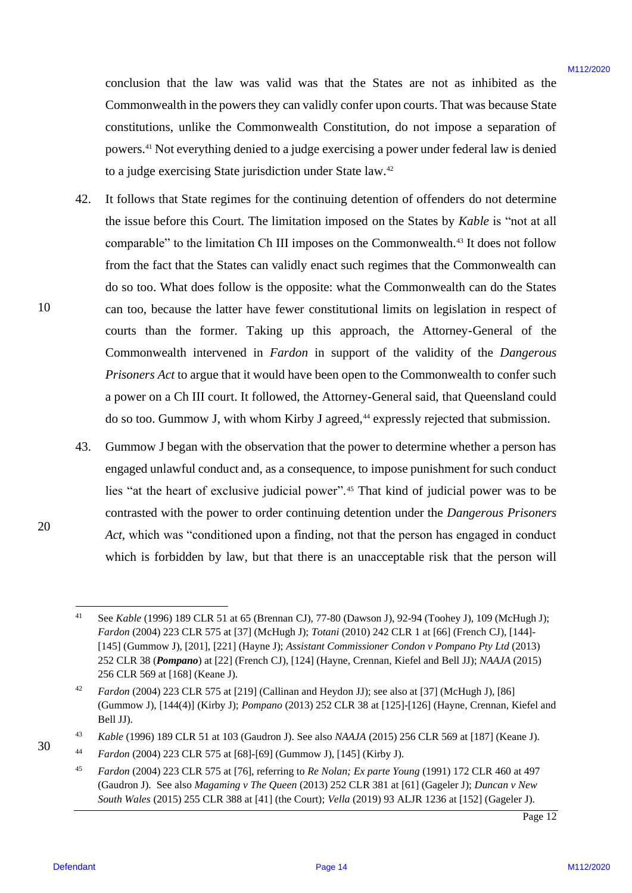conclusion that the law was valid was that the States are not as inhibited as the conclusion that the law was valid was that the States are notas inhibited as the Commonwealth in the powers they can validly confer upon courts. That was because State Commonwealth in the powers they can validly confer upon courts. That was because State constitutions, unlike the Commonwealth Constitution, do not impose a separation of constitutions, unlike the Commonwealth Constitution, do not impose <sup>a</sup> separation of powers.<sup>41</sup> Not everything denied to a judge exercising a power under federal law is denied to a judge exercising State jurisdiction under State law.<sup>42</sup>

- 42. It follows that State regimes for the continuing detention of offenders do not determine It follows that State regimes for the continuing detention of offenders do not determine the issue before this Court. The limitation imposed on the States by Kable is "not at all comparable" to the limitation Ch III imposes on the Commonwealth.<sup>43</sup> It does not follow from the fact that the States can validly enact such regimes that the Commonwealth can from the fact that the States can validly enact such regimes that the Commonwealth can do so too. What does follow is the opposite: what the Commonwealth can do the States do so too. What does follow is the opposite: what the Commonwealth can do the States can too, because the latter have fewer constitutional limits on legislation in respect of courts than the former. Taking up this approach, the Attorney-General of the courts than the former. Taking up this approach, the Attorney-General of the Commonwealth intervened in *Fardon* in support of the validity of the *Dangerous*  Commonwealth intervened in Fardon in support of the validity of the Dangerous *Prisoners Act* to argue that it would have been open to the Commonwealth to confer such Prisoners Act to argue that it would have been open to the Commonwealth to confer such a power on a Ch III court. It followed, the Attorney-General said, that Queensland could a power on <sup>a</sup> Ch III court. It followed, the Attorney-General said, that Queensland could do so too. Gummow J, with whom Kirby J agreed,<sup>44</sup> expressly rejected that submission. conclusion that the law was vanish was that the States are not as thirduce as the Commonwealth for the Commonwealth Conclusion (Control The Was New York Commonwealth Conclusion (Control The States) Since the commonwealth 42.
	- 43. Gummow J began with the observation that the power to determine whether a person has Gummow <sup>J</sup> began with the observation that the power to determine whether <sup>a</sup> person has engaged unlawful conduct and, as a consequence, to impose punishment for such conduct engaged unlawful conduct and, as <sup>a</sup> consequence, to impose punishment for such conduct lies "at the heart of exclusive judicial power".<sup>45</sup> That kind of judicial power was to be lies "at the heart of exclusive judicial power".\* That kind of judicial power was to be contrasted with the power to order continuing detention under the *Dangerous Prisoners*  contrasted with the power to order continuing detention under the Dangerous Prisoners Act, which was "conditioned upon a finding, not that the person has engaged in conduct which is forbidden by law, but that there is an unacceptable risk that the person will which is forbidden by law, but that there is an unacceptable risk that the person will 43.

<sup>41</sup> See *Kable* (1996) 189 CLR 51 at 65 (Brennan CJ), 77-80 (Dawson J), 92-94 (Toohey J), 109 (McHugh J); See Kable (1996) 189 CLR 51 at 65 (Brennan CJ), 77-80 (Dawson J), 92-94 (Toohey J), 109 (McHugh J); *Fardon* (2004) 223 CLR 575 at [37] (McHugh J); *Totani* (2010) 242 CLR 1 at [66] (French CJ), [144]- Fardon (2004) 223 CLR 575 at [37] (McHugh J); Totani (2010) 242 CLR 1 at [66] (French CJ), [144]- [145] (Gummow J), [201], [221] (Hayne J); *Assistant Commissioner Condon v Pompano Pty Ltd* (2013) [145] (Gummow J), [201], [221] (Hayne J); Assistant Commissioner Condon v Pompano Pty Ltd (2013) 252 CLR 38 (*Pompano*) at [22] (French CJ), [124] (Hayne, Crennan, Kiefel and Bell JJ); *NAAJA* (2015) 252 CLR 38 (Pompano) at [22] (French CJ), [124] (Hayne, Crennan, Kiefel and Bell JJ); NAAJA (2015) 256 CLR 569 at [168] (Keane J). 256 CLR 569 at [168] (Keane J). 41

<sup>42</sup> *Fardon* (2004) 223 CLR 575 at [219] (Callinan and Heydon JJ); see also at [37] (McHugh J), [86] Fardon (2004) 223 CLR 575 at [219] (Callinan and Heydon JJ); see also at[37] (McHugh J), [86] (Gummow J), [144(4)] (Kirby J); *Pompano* (2013) 252 CLR 38 at [125]-[126] (Hayne, Crennan, Kiefel and (Gummow J), [144(4)] (Kirby J); Pompano (2013) 252 CLR 38 at [125]-[126] (Hayne, Crennan, Kiefel and Bell JJ). Bell JJ). 42

<sup>43</sup> *Kable* (1996) 189 CLR 51 at 103 (Gaudron J). See also *NAAJA* (2015) 256 CLR 569 at [187] (Keane J). Kable(1996) 189 CLR 51 at 103 (Gaudron J). See also NAAJA (2015) 256 CLR 569 at [187] (Keane J). 43

<sup>44</sup> *Fardon* (2004) 223 CLR 575 at [68]-[69] (Gummow J), [145] (Kirby J). Fardon (2004) 223 CLR 575 at [68]-[69] (Gummow J), [145] (Kirby J). 44

<sup>45</sup> *Fardon* (2004) 223 CLR 575 at [76], referring to *Re Nolan; Ex parte Young* (1991) 172 CLR 460 at 497 Fardon (2004) 223 CLR 575 at [76], referring to Re Nolan; Ex parte Young (1991) 172 CLR 460 at 497 (Gaudron J). See also *Magaming v The Queen* (2013) 252 CLR 381 at [61] (Gageler J); *Duncan v New*  (Gaudron J). See also Magaming v The Queen (2013) 252 CLR 381 at [61] (Gageler J); Duncan v New *South Wales* (2015) 255 CLR 388 at [41] (the Court); *Vella* (2019) 93 ALJR 1236 at [152] (Gageler J). South Wales (2015) 255 CLR 388 at [41] (the Court); Vella (2019) 93 ALJR 1236 at [152] (Gageler J). 45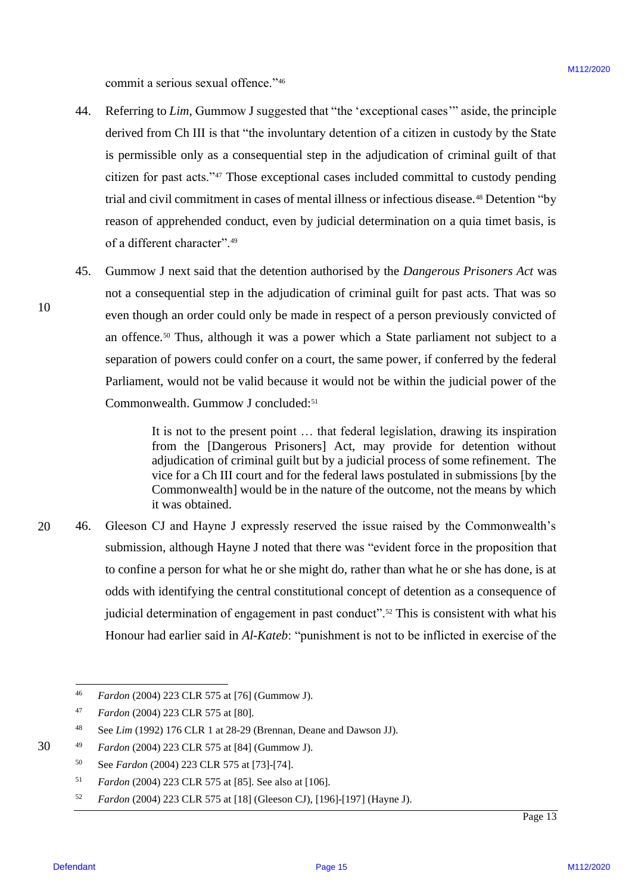commit a serious sexual offence."<sup>46</sup>

- 44. Referring to *Lim*, Gummow J suggested that "the 'exceptional cases'" aside, the principle Referring to Lim, Gummow J suggested that "the 'exceptional cases'" aside, the principle derived from Ch III is that "the involuntary detention of a citizen in custody by the State is permissible only as a consequential step in the adjudication of criminal guilt of that is permissible only as a consequential step in the adjudication of criminal guilt of that citizen for past acts."<sup>47</sup> Those exceptional cases included committal to custody pending citizen for past acts.'\*'" Those exceptional cases included committal to custody pending trial and civil commitment in cases of mental illness or infectious disease.<sup>48</sup> Detention "by reason of apprehended conduct, even by judicial determination on a quia timet basis, is reason of apprehended conduct, even by judicial determination on <sup>a</sup> quia timet basis, is of a different character".<sup>49</sup> commis a serious sexual offence.<sup>774</sup><br>
4. Retering to *I In*, Currence, J. Algoenization their "the "exceptional cases" insight, the protection<br>
4. derived from CD. (Therefore, J. algoenization step in the adjustment of 44.
	- 45. Gummow J next said that the detention authorised by the *Dangerous Prisoners Act* was Gummow J next said that the detention authorised by the Dangerous Prisoners Act was not a consequential step in the adjudication of criminal guilt for past acts. That was so not <sup>a</sup> consequential step in the adjudication of criminal guilt for past acts. That was so even though an order could only be made in respect of a person previously convicted of even though an order could only be made in respect of <sup>a</sup> person previously convicted of an offence.<sup>50</sup> Thus, although it was a power which a State parliament not subject to a separation of powers could confer on a court, the same power, if conferred by the federal separation of powers could confer on <sup>a</sup> court, the same power, if conferred by the federal Parliament, would not be valid because it would not be within the judicial power of the Parliament, would not be valid because it would not be within the judicial power of the Commonwealth. Gummow J concluded:<sup>51</sup> 45.

It is not to the present point … that federal legislation, drawing its inspiration It is not to the present point ... that federal legislation, drawing its inspiration from the [Dangerous Prisoners] Act, may provide for detention without from the [Dangerous Prisoners] Act, may provide for detention without adjudication of criminal guilt but by a judicial process of some refinement. The adjudication of criminal guilt but by <sup>a</sup> judicial process of some refinement. The vice for a Ch III court and for the federal laws postulated in submissions [by the vice for a Ch III court and for the federal laws postulated in submissions [by the Commonwealth] would be in the nature of the outcome, not the means by which Commonwealth] would be in the nature of the outcome, not the means by which it was obtained. it was obtained.

20 20 46. Gleeson CJ and Hayne J expressly reserved the issue raised by the Commonwealth's Gleeson CJ and Hayne J expressly reserved the issue raised by the Commonwealth's submission, although Hayne J noted that there was "evident force in the proposition that to confine a person for what he or she might do, rather than what he or she has done, is at to confine a person for what he or she might do, rather than what he or she has done, is at odds with identifying the central constitutional concept of detention as a consequence of judicial determination of engagement in past conduct".<sup>52</sup> This is consistent with what his Honour had earlier said in *Al-Kateb*: "punishment is not to be inflicted in exercise of the Honour had earlier said in Al-Kateb: "punishment is not to be inflicted in exercise of the 46.

<sup>52</sup> *Fardon* (2004) 223 CLR 575 at [18] (Gleeson CJ), [196]-[197] (Hayne J). Fardon (2004) 223 CLR 575 at [18] (Gleeson CJ), [196]-[197] (Hayne J). 52

**Defendant** 

30 30

<sup>46</sup> *Fardon* (2004) 223 CLR 575 at [76] (Gummow J). Fardon (2004) 223 CLR 575 at [76] (Gummow J). 46

<sup>47</sup> *Fardon* (2004) 223 CLR 575 at [80]. Fardon (2004) 223 CLR 575 at [80]. 47

<sup>48</sup> See *Lim* (1992) 176 CLR 1 at 28-29 (Brennan, Deane and Dawson JJ). See Lim (1992) 176 CLR 1 at 28-29 (Brennan, Deane and Dawson JJ). 48

<sup>49</sup> *Fardon* (2004) 223 CLR 575 at [84] (Gummow J). Fardon (2004) 223 CLR 575 at [84] (Gummow J). 49

<sup>50</sup> See *Fardon* (2004) 223 CLR 575 at [73]-[74]. See Fardon (2004) 223 CLR 575 at [73]-[74]. 50

<sup>51</sup> *Fardon* (2004) 223 CLR 575 at [85]. See also at [106]. Fardon (2004) 223 CLR 575 at [85]. See also at [106]. Sl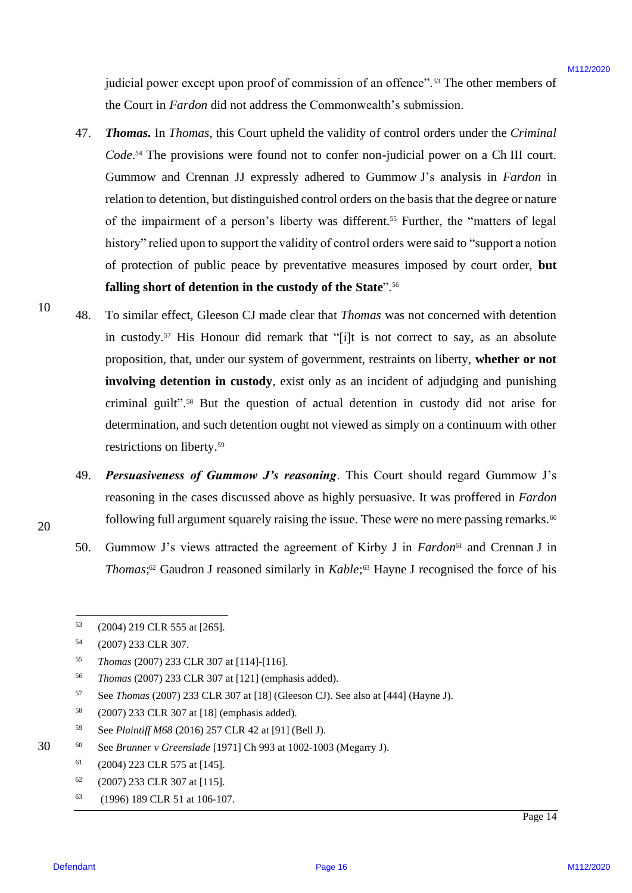judicial power except upon proof of commission of an offence".<sup>53</sup> The other members of the Court in *Fardon* did not address the Commonwealth's submission. the Court in Fardon did not address the Commonwealth's submission.

- 47. *Thomas.* In *Thomas*, this Court upheld the validity of control orders under the *Criminal*  Thomas. In Thomas, this Court upheld the validity of control orders under the Criminal Code.<sup>54</sup> The provisions were found not to confer non-judicial power on a Ch III court. Gummow and Crennan JJ expressly adhered to Gummow J's analysis in *Fardon* in relation to detention, but distinguished control orders on the basis that the degree or nature of the impairment of a person's liberty was different.<sup>55</sup> Further, the "matters of legal history" relied upon to support the validity of control orders were said to "support a notion history" relied upon to support the validity of control orders were said to "support anotion of protection of public peace by preventative measures imposed by court order, **but**  of protection of public peace by preventative measures imposed by court order, but falling short of detention in the custody of the State".<sup>56</sup> jaalisial power except strom proof of commission of an offence"." The other websites.<br>
27. Thomas. In *Florent*, this Chart upded the validary discussion.<br>
27. Thomas. In *Florent*, this Chart upded the validary of contro 47.
- 48. To similar effect, Gleeson CJ made clear that *Thomas* was not concerned with detention To similar effect, Gleeson CJ made clear that Thomas was not concerned with detention in custody.<sup>57</sup> His Honour did remark that "[i]t is not correct to say, as an absolute proposition, that, under our system of government, restraints on liberty, **whether or not**  proposition, that, under our system of government, restraints on liberty, whether or not involving detention in custody, exist only as an incident of adjudging and punishing criminal guilt".<sup>58</sup> But the question of actual detention in custody did not arise for determination, and such detention ought not viewed as simply on a continuum with other determination, and such detention ought not viewed as simply on <sup>a</sup> continuum with other restrictions on liberty. 59 restrictions on liberty.°° 48.
	- 49. *Persuasiveness of Gummow J's reasoning*. This Court should regard Gummow J's Persuasiveness of Gummow J's reasoning. This Court should regard Gummow J's reasoning in the cases discussed above as highly persuasive. It was proffered in *Fardon* reasoning in the cases discussed above as highly persuasive. It was proffered in Fardon following full argument squarely raising the issue. These were no mere passing remarks.<sup>60</sup> 49.
	- 50. Gummow J's views attracted the agreement of Kirby J in *Fardon*<sup>61</sup> and Crennan J in Thomas;<sup>62</sup> Gaudron J reasoned similarly in *Kable*;<sup>63</sup> Hayne J recognised the force of his 50.
- 57 See *Thomas* (2007) 233 CLR 307 at [18] (Gleeson CJ). See also at [444] (Hayne J). 57
- <sup>58</sup> (2007) 233 CLR 307 at [18] (emphasis added). (2007) 233 CLR 307 at [18] (emphasis added). 58

<sup>60</sup> See *Brunner v Greenslade* [1971] Ch 993 at 1002-1003 (Megarry J). See Brunner v Greenslade [1971] Ch 993 at 1002-1003 (Megarry J). 60

<sup>63</sup> (1996) 189 CLR 51 at 106-107. (1996) 189 CLR 51 at 106-107. 63

30 30

10 10

<sup>53</sup> (2004) 219 CLR 555 at [265]. (2004) 219 CLR 555 at [265]. 53

<sup>54</sup> (2007) 233 CLR 307. (2007) 233 CLR 307. 54

<sup>55</sup> *Thomas* (2007) 233 CLR 307 at [114]-[116]. Thomas (2007) 233 CLR 307 at [114]-[116]. 55

<sup>56</sup> *Thomas* (2007) 233 CLR 307 at [121] (emphasis added). Thomas (2007) 233 CLR 307 at [121] (emphasis added). 56

<sup>59</sup> See *Plaintiff M68* (2016) 257 CLR 42 at [91] (Bell J). See PlaintiffM68 (2016) 257 CLR 42 at [91] (Bell J). 59

 $61$  (2004) 223 CLR 575 at [145]. 61

 $62$  (2007) 233 CLR 307 at [115]. 62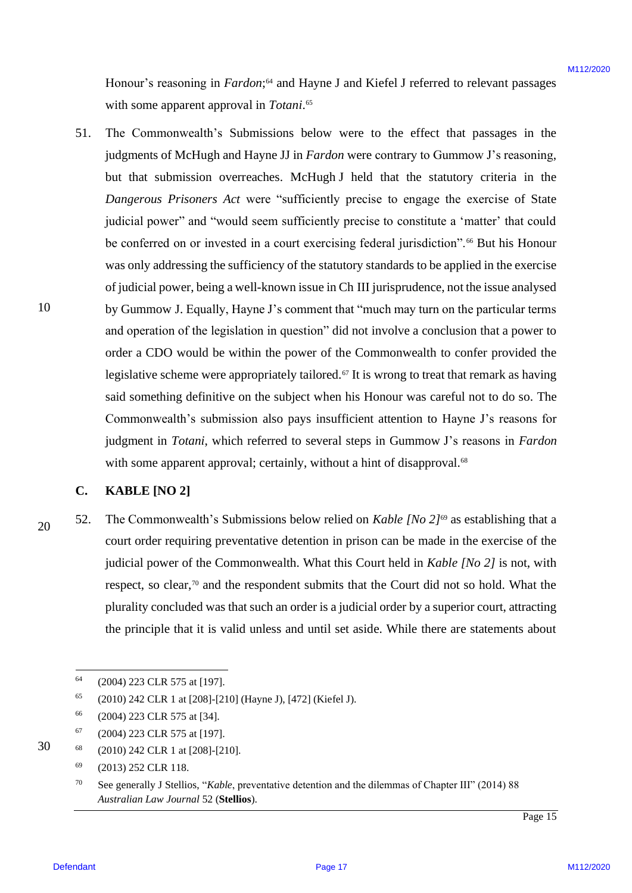Honour's reasoning in *Fardon*;<sup>64</sup> and Hayne J and Kiefel J referred to relevant passages with some apparent approval in *Totani*.<sup>65</sup>

51. The Commonwealth's Submissions below were to the effect that passages in the The Commonwealth's Submissions below were to the effect that passages in the judgments of McHugh and Hayne JJ in *Fardon* were contrary to Gummow J's reasoning, judgments of McHugh and Hayne JJ in Fardon were contrary to Gummow J's reasoning, but that submission overreaches. McHugh J held that the statutory criteria in the but that submission overreaches. McHugh J held that the statutory criteria in the *Dangerous Prisoners Act* were "sufficiently precise to engage the exercise of State Dangerous Prisoners Actwere "sufficiently precise to engage the exercise of State judicial power" and "would seem sufficiently precise to constitute a 'matter' that could be conferred on or invested in a court exercising federal jurisdiction".<sup>66</sup> But his Honour was only addressing the sufficiency of the statutory standards to be applied in the exercise was only addressing the sufficiency of the statutory standards to be applied in the exercise of judicial power, being a well-known issue in Ch III jurisprudence, not the issue analysed ofjudicial power, being <sup>a</sup> well-known issue in Ch III jurisprudence, not the issue analysed by Gummow J. Equally, Hayne J's comment that "much may turn on the particular terms by Gummow J. Equally, Hayne J's comment that "much may turn on the particular terms and operation of the legislation in question" did not involve a conclusion that a power to order a CDO would be within the power of the Commonwealth to confer provided the legislative scheme were appropriately tailored.<sup>67</sup> It is wrong to treat that remark as having said something definitive on the subject when his Honour was careful not to do so. The Commonwealth's submission also pays insufficient attention to Hayne J's reasons for Commonwealth's submission also pays insufficient attention to Hayne J's reasons for judgment in *Totani*, which referred to several steps in Gummow J's reasons in *Fardon* judgment in Totani, which referred to several steps in Gummow J's reasons in Fardon with some apparent approval; certainly, without a hint of disapproval.<sup>68</sup> Howear's reasoning in Eurosian,<sup>2</sup> and Hayon Junk Kielid J mérmal in relevant passages<br>which some apparent approximation Theories and the series to the effect that passages in the<br>joilgeneed of McHugh and Hayon J in Provi 51.

### **C. KABLE [NO 2]** KABLE [NO 2]

52. The Commonwealth's Submissions below relied on *Kable [No 2]*<sup>69</sup> as establishing that a court order requiring preventative detention in prison can be made in the exercise of the judicial power of the Commonwealth. What this Court held in *Kable [No 2]* is not, with respect, so clear,<sup>70</sup> and the respondent submits that the Court did not so hold. What the plurality concluded was that such an order is a judicial order by a superior court, attracting plurality concluded was that such an order is <sup>a</sup> judicial order by <sup>a</sup> superior court, attracting the principle that it is valid unless and until set aside. While there are statements about the principle that it is valid unless and until set aside. While there are statements about 52.

<sup>68</sup> (2010) 242 CLR 1 at [208]-[210]. (2010) <sup>242</sup> CLR1 at [208]-[210]. 68

<sup>64</sup> (2004) 223 CLR 575 at [197]. (2004) 223 CLR 575 at [197]. 64

<sup>65</sup> (2010) 242 CLR 1 at [208]-[210] (Hayne J), [472] (Kiefel J). (2010) <sup>242</sup> CLR1 at [208]-[210] (Hayne J), [472] (Kiefel J). 65

<sup>66</sup> (2004) 223 CLR 575 at [34]. (2004) 223 CLR 575 at [34]. 66

 $67$  (2004) 223 CLR 575 at [197]. 67

 $^{69}$  (2013) 252 CLR 118. 69

<sup>70</sup> See generally J Stellios, "*Kable*, preventative detention and the dilemmas of Chapter III" (2014) 88 See generally <sup>J</sup> Stellios, "Kable, preventative detention and the dilemmas of Chapter IIT" (2014) 88 *Australian Law Journal* 52 (**Stellios**). Australian Law Journal 52 (Stellios). 70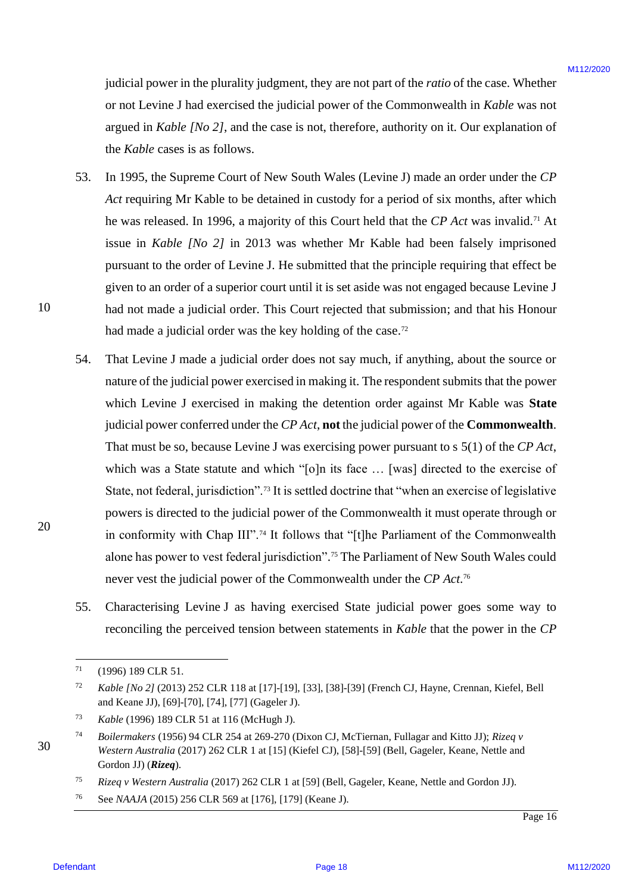judicial power in the plurality judgment, they are not part of the *ratio* of the case. Whether judicial power in the plurality judgment, they are not part of the ratio of the case. Whether or not Levine J had exercised the judicial power of the Commonwealth in *Kable* was not argued in *Kable [No 2]*, and the case is not, therefore, authority on it. Our explanation of the *Kable* cases is as follows. the Kable cases is as follows.

- 53. In 1995, the Supreme Court of New South Wales (Levine J) made an order under the *CP*  In 1995, the Supreme Court of New South Wales (Levine J) made an order under the CP Act requiring Mr Kable to be detained in custody for a period of six months, after which he was released. In 1996, a majority of this Court held that the CP Act was invalid.<sup>71</sup> At issue in *Kable [No 2]* in 2013 was whether Mr Kable had been falsely imprisoned pursuant to the order of Levine J. He submitted that the principle requiring that effect be pursuant to the order of Levine J. He submitted that the principle requiring that effect be given to an order of a superior court until it is set aside was not engaged because Levine J given to an order of a superior court until it is set aside was not engaged because Levine <sup>J</sup> had not made a judicial order. This Court rejected that submission; and that his Honour had not made <sup>a</sup> judicial order. This Court rejected that submission; and that his Honour had made a judicial order was the key holding of the case.<sup>72</sup> 53.
- 54. That Levine J made a judicial order does not say much, if anything, about the source or That Levine <sup>J</sup> made <sup>a</sup> judicial order does not say much, if anything, about the source or nature of the judicial power exercised in making it. The respondent submits that the power which Levine J exercised in making the detention order against Mr Kable was **State** which Levine <sup>J</sup> exercised in making the detention order against Mr Kable was State judicial power conferred under the *CP Act*, **not** the judicial power of the **Commonwealth**. judicial power conferred under the CP Act, not thejudicial power of the Commonwealth. That must be so, because Levine J was exercising power pursuant to s 5(1) of the *CP Act*, That must be so, because Levine <sup>J</sup> was exercising power pursuant to <sup>s</sup> 5(1) of the CP Act, which was a State statute and which "[o]n its face ... [was] directed to the exercise of State, not federal, jurisdiction".<sup>73</sup> It is settled doctrine that "when an exercise of legislative powers is directed to the judicial power of the Commonwealth it must operate through or powers is directed to the judicial power of the Commonwealth it must operate through or in conformity with Chap III".<sup>74</sup> It follows that "[t]he Parliament of the Commonwealth alone has power to vest federal jurisdiction".<sup>75</sup> The Parliament of New South Wales could never vest the judicial power of the Commonwealth under the *CP Act*. 76 never vest the judicial power of the Commonwealth under the CP Act." jadicial proser in the pharalisty galgement, they are not part of the arise of the Case<br>or or Levin M2 have a stressed of philological power of the Case<br>are are the stressed of philological power of the Case is not Levin 54.
	- 55. Characterising Levine J as having exercised State judicial power goes some way to Characterising Levine <sup>J</sup> as having exercised State judicial power goes some way to reconciling the perceived tension between statements in *Kable* that the power in the CP 55.

 $71$  (1996) 189 CLR 51. 71

<sup>72</sup> *Kable [No 2]* (2013) 252 CLR 118 at [17]-[19], [33], [38]-[39] (French CJ, Hayne, Crennan, Kiefel, Bell Kable [No 2] (2013) 252 CLR 118 at [17]-[19], [33], [38]-[39] (French CJ, Hayne, Crennan, Kiefel, Bell and Keane JJ), [69]-[70], [74], [77] (Gageler J). and Keane JJ), [69]-[70], [74], [77] (Gageler J). 72

<sup>73</sup> *Kable* (1996) 189 CLR 51 at 116 (McHugh J). Kable (1996) 189 CLR 51 at 116 (McHugh J). 73

<sup>74</sup> *Boilermakers* (1956) 94 CLR 254 at 269-270 (Dixon CJ, McTiernan, Fullagar and Kitto JJ); *Rizeq v*  Boilermakers (1956) 94 CLR 254 at 269-270 (Dixon CJ, McTiernan, Fullagar and Kitto JJ); Rizeq v *Western Australia* (2017) 262 CLR 1 at [15] (Kiefel CJ), [58]-[59] (Bell, Gageler, Keane, Nettle and Western Australia (2017) 262 CLR 1 at [15] (Kiefel CJ), [58]-[59] (Bell, Gageler, Keane, Nettle and Gordon JJ) (*Rizeq*). Gordon JJ) (Rizeq). 74

<sup>75</sup> *Rizeq v Western Australia* (2017) 262 CLR 1 at [59] (Bell, Gageler, Keane, Nettle and Gordon JJ). Rizeq v Western Australia (2017) 262 CLR 1 at [59] (Bell, Gageler, Keane, Nettle and Gordon JJ). 75

<sup>76</sup> See *NAAJA* (2015) 256 CLR 569 at [176], [179] (Keane J). See NAAJA (2015) 256 CLR 569 at [176], [179] (Keane J). 76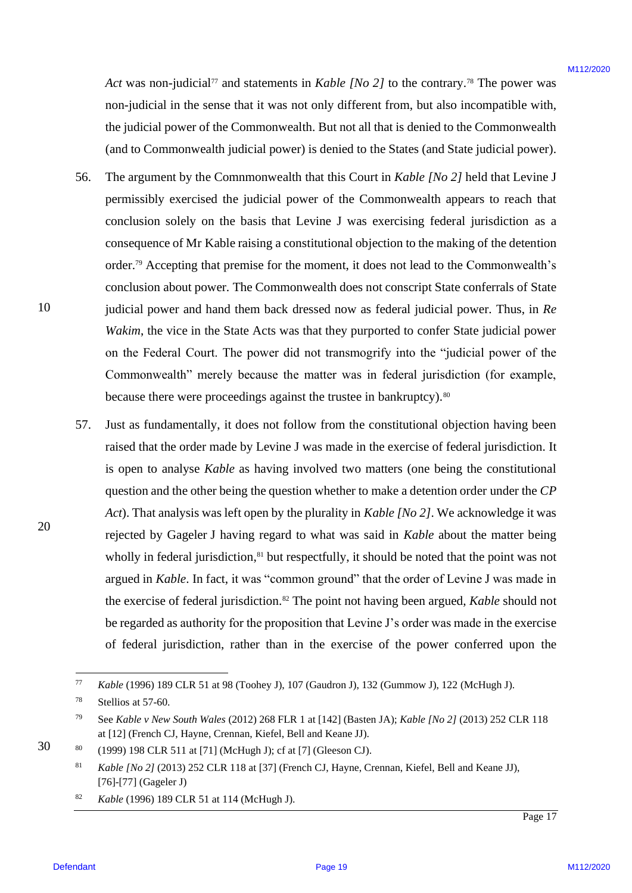Act was non-judicial<sup>77</sup> and statements in *Kable [No 2]* to the contrary.<sup>78</sup> The power was non-judicial in the sense that it was not only different from, but also incompatible with, non-judicial in the sense that it was not only different from, but also incompatible with, the judicial power of the Commonwealth. But not all that is denied to the Commonwealth the judicial power of the Commonwealth. But not all that is denied to the Commonwealth (and to Commonwealth judicial power) is denied to the States (and State judicial power). (and to Commonwealth judicial power) is denied to the States (and Statejudicial power).

- 56. The argument by the Comnmonwealth that this Court in *Kable [No 2]* held that Levine J permissibly exercised the judicial power of the Commonwealth appears to reach that permissibly exercised the judicial power of the Commonwealth appears to reach that conclusion solely on the basis that Levine J was exercising federal jurisdiction as a conclusion solely on the basis that Levine <sup>J</sup> was exercising federal jurisdiction as <sup>a</sup> consequence of Mr Kable raising a constitutional objection to the making of the detention consequence of Mr Kable raising <sup>a</sup> constitutional objection to the making of the detention order.<sup>79</sup> Accepting that premise for the moment, it does not lead to the Commonwealth's conclusion about power. The Commonwealth does not conscript State conferrals of State judicial power and hand them back dressed now as federal judicial power. Thus, in *Re*  judicial power and hand them back dressed now as federal judicial power. Thus, in Re *Wakim*, the vice in the State Acts was that they purported to confer State judicial power Wakim, the vice in the State Acts was that they purported to confer State judicial power on the Federal Court. The power did not transmogrify into the "judicial power of the Commonwealth" merely because the matter was in federal jurisdiction (for example, Commonwealth" merely because the matter was in federal jurisdiction (for example, because there were proceedings against the trustee in bankruptcy).<sup>80</sup> 56.
- 57. Just as fundamentally, it does not follow from the constitutional objection having been Just as fundamentally, it does not follow from the constitutional objection having been raised that the order made by Levine J was made in the exercise of federal jurisdiction. It is open to analyse *Kable* as having involved two matters (one being the constitutional is open to analyse Kable as having involved two matters (one being the constitutional question and the other being the question whether to make a detention order under the *CP*  question and the other being the question whether to make <sup>a</sup> detention order under the CP *Act*). That analysis was left open by the plurality in *Kable [No 2]*. We acknowledge it was Act). That analysis was left open by the plurality in Kable [No 2]. We acknowledge it was rejected by Gageler J having regard to what was said in *Kable* about the matter being rejected by Gageler J having regard to what was said in Kable about the matter being wholly in federal jurisdiction,<sup>81</sup> but respectfully, it should be noted that the point was not argued in *Kable*. In fact, it was "common ground" that the order of Levine J was made in argued in Kable. In fact, it was "common ground" that the order of Levine <sup>J</sup> was made in the exercise of federal jurisdiction.<sup>82</sup> The point not having been argued, *Kable* should not be regarded as authority for the proposition that Levine J's order was made in the exercise be regarded as authority for the proposition that Levine J's order was made in the exercise of federal jurisdiction, rather than in the exercise of the power conferred upon the of federal jurisdiction, rather than in the exercise of the power conferred upon the Arr was non judicial" and statements in Aohle (No 2) to the contrary.<sup>36</sup> The proven was non-judicial in the sense that is to an or only different from, bet this become political in the contrast of the political intervals 57.

10 10

<sup>77</sup> *Kable* (1996) 189 CLR 51 at 98 (Toohey J), 107 (Gaudron J), 132 (Gummow J), 122 (McHugh J). Kable (1996) 189 CLR 51 at 98 (Toohey J), 107 (Gaudron J), 132 (Gummow J), 122 (McHugh J). 77

<sup>78</sup> Stellios at 57-60. Stellios at 57-60. 78

<sup>79</sup> See *Kable v New South Wales* (2012) 268 FLR 1 at [142] (Basten JA); *Kable [No 2]* (2013) 252 CLR 118 See Kable v New South Wales (2012) 268 FLR 1 at [142] (Basten JA); Kable [No 2] (2013) 252 CLR 118 at [12] (French CJ, Hayne, Crennan, Kiefel, Bell and Keane JJ). at [12] (French CJ, Hayne, Crennan, Kiefel, Bell and Keane JJ). 79

<sup>80</sup> (1999) 198 CLR 511 at [71] (McHugh J); cf at [7] (Gleeson CJ). (1999) 198 CLR 511 at [71] (McHugh J); cf at [7] (Gleeson CJ). 80

 $Kable [No 2] (2013) 252 \text{ CLR } 118$  at [37] (French CJ, Hayne, Crennan, Kiefel, Bell and Keane JJ), [76]-[77] (Gageler J) [76]-[77] (Gageler J) 81

<sup>82</sup> *Kable* (1996) 189 CLR 51 at 114 (McHugh J). Kable (1996) 189 CLR 51 at 114 (McHugh J). 82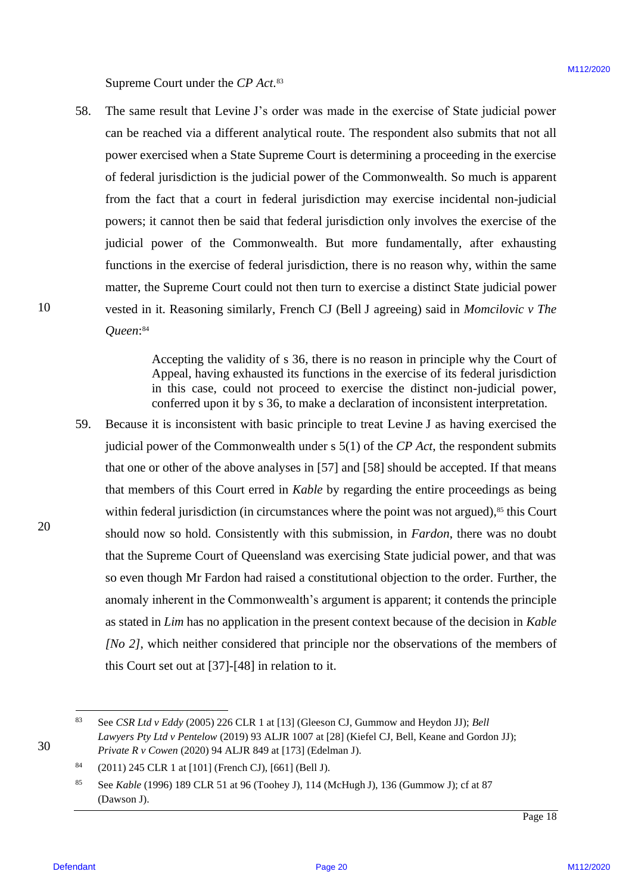Supreme Court under the *CP Act*. 83 Supreme Court under the CP Act.®

58. The same result that Levine J's order was made in the exercise of State judicial power The same result that Levine J's order was made in the exercise of State judicial power can be reached via a different analytical route. The respondent also submits that not all power exercised when a State Supreme Court is determining a proceeding in the exercise power exercised when a State Supreme Court is determining a proceeding in the exercise of federal jurisdiction is the judicial power of the Commonwealth. So much is apparent from the fact that a court in federal jurisdiction may exercise incidental non-judicial from the fact that <sup>a</sup> court in federal jurisdiction may exercise incidental non-judicial powers; it cannot then be said that federal jurisdiction only involves the exercise of the powers; it cannot then be said that federal jurisdiction only involves the exercise of the judicial power of the Commonwealth. But more fundamentally, after exhausting judicial power of the Commonwealth. But more fundamentally, after exhausting functions in the exercise of federal jurisdiction, there is no reason why, within the same functions in the exercise of federal jurisdiction, there is no reason why, within the same matter, the Supreme Court could not then turn to exercise a distinct State judicial power matter, the Supreme Court could not then turn to exercise <sup>a</sup> distinct State judicial power vested in it. Reasoning similarly, French CJ (Bell J agreeing) said in *Momcilovic v The*  vested in it. Reasoning similarly, French CJ (Bell <sup>J</sup> agreeing) said in Momcilovic v The *Queen*: 84 Queen:™ 58.

> Accepting the validity of s 36, there is no reason in principle why the Court of Accepting the validity of <sup>s</sup> 36, there is no reason in principle why the Court of Appeal, having exhausted its functions in the exercise of its federal jurisdiction in this case, could not proceed to exercise the distinct non-judicial power, in this case, could not proceed to exercise the distinct non-judicial power, conferred upon it by s 36, to make a declaration of inconsistent interpretation.

59. Because it is inconsistent with basic principle to treat Levine J as having exercised the Because it is inconsistent with basic principle to treat Levine <sup>J</sup> as having exercised the judicial power of the Commonwealth under s 5(1) of the *CP Act*, the respondent submits judicial power of the Commonwealth under <sup>s</sup> 5(1) of the CP Act, the respondent submits that one or other of the above analyses in [57] and [58] should be accepted. If that means that members of this Court erred in *Kable* by regarding the entire proceedings as being that members of this Court erred in Kable by regarding the entire proceedings as being within federal jurisdiction (in circumstances where the point was not argued),<sup>85</sup> this Court should now so hold. Consistently with this submission, in *Fardon*, there was no doubt that the Supreme Court of Queensland was exercising State judicial power, and that was so even though Mr Fardon had raised a constitutional objection to the order. Further, the so even though Mr Fardon had raised <sup>a</sup> constitutional objection to the order. Further, the anomaly inherent in the Commonwealth's argument is apparent; it contends the principle anomaly inherent in the Commonwealth's argument is apparent; it contends the principle as stated in *Lim* has no application in the present context because of the decision in *Kable*  as stated in Lim has no application in the present context because of the decision in Kable *[No 2]*, which neither considered that principle nor the observations of the members of this Court set out at [37]-[48] in relation to it. this Court set out at [37]-[48] in relation to it. Supreme Court under the CP Art.<sup>6</sup><br>
28. The same result that the First of The state of the Barachy of Sing yarbetic peace<br>
can be reached but a different analytical rotat. The respondent side submits that mot all<br>
grower 59.

<sup>83</sup> See *CSR Ltd v Eddy* (2005) 226 CLR 1 at [13] (Gleeson CJ, Gummow and Heydon JJ); *Bell*  See CSR Ltd v Eddy (2005) 226 CLR | at [13] (Gleeson CJ, Gummow and Heydon JJ); Bell *Lawyers Pty Ltd v Pentelow* (2019) 93 ALJR 1007 at [28] (Kiefel CJ, Bell, Keane and Gordon JJ); Lawyers Pty Ltd v Pentelow (2019) 93 ALJR 1007 at [28] (Kiefel CJ, Bell, Keane and Gordon JJ); *Private R v Cowen* (2020) 94 ALJR 849 at [173] (Edelman J). Private <sup>R</sup> v Cowen (2020) 94 ALJR 849 at [173] (Edelman J). 83

 $84$  (2011) 245 CLR 1 at [101] (French CJ), [661] (Bell J). 84

<sup>85</sup> See *Kable* (1996) 189 CLR 51 at 96 (Toohey J), 114 (McHugh J), 136 (Gummow J); cf at 87 See Kable (1996) <sup>189</sup> CLR <sup>51</sup> at <sup>96</sup> (Toohey J), <sup>114</sup> (McHugh J), <sup>136</sup> (Gummow J); cfat <sup>87</sup> (Dawson J). (Dawson J). 85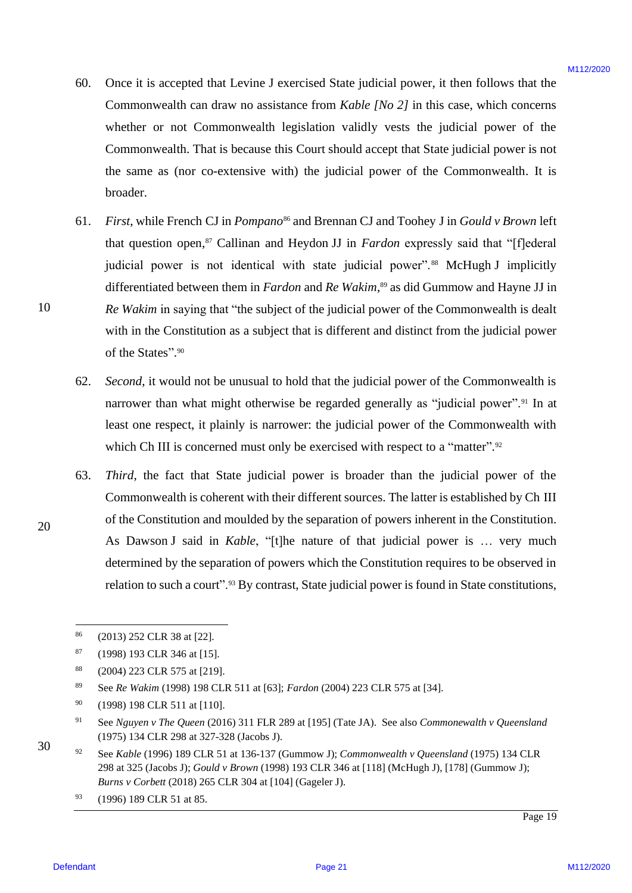- 60. Once it is accepted that Levine J exercised State judicial power, it then follows that the Once it is accepted that Levine <sup>J</sup> exercised Statejudicial power, it then follows that the Commonwealth can draw no assistance from *Kable [No 2]* in this case, which concerns Commonwealth can draw no assistance from Kable [No 2] in this case, which concerns whether or not Commonwealth legislation validly vests the judicial power of the whether or not Commonwealth legislation validly vests the judicial power of the Commonwealth. That is because this Court should accept that State judicial power is not Commonwealth. That is because this Court should accept that State judicial power is not the same as (nor co-extensive with) the judicial power of the Commonwealth. It is broader. broader. 60.
- 61. First, while French CJ in *Pompano<sup>86</sup>* and Brennan CJ and Toohey J in *Gould v Brown* left that question open,<sup>87</sup> Callinan and Heydon JJ in *Fardon* expressly said that "[f]ederal judicial power is not identical with state judicial power".<sup>88</sup> McHugh J implicitly differentiated between them in *Fardon* and *Re Wakim*, <sup>89</sup> as did Gummow and Hayne JJ in differentiated between them in Fardon and Re Wakim,® as did Gummow and Hayne JJ in *Re Wakim* in saying that "the subject of the judicial power of the Commonwealth is dealt Re Wakim in saying that "the subject of the judicial power of the Commonwealth is dealt with in the Constitution as a subject that is different and distinct from the judicial power with in the Constitution as <sup>a</sup> subject that is different and distinct from the judicial power of the States".90 60. Once it is accepted bat Levine J estavénal Nade jadicial pover, it then follows that the<br>Contravewendo on detwi to a distinct from Mole ( $\beta/2$ ) In this case, which concerns<br>only a contraversion of the contrast of the 61.
	- 62. *Second*, it would not be unusual to hold that the judicial power of the Commonwealth is Second, it would not be unusual to hold that the judicial power of the Commonwealth is narrower than what might otherwise be regarded generally as "judicial power".<sup>91</sup> In at least one respect, it plainly is narrower: the judicial power of the Commonwealth with least one respect, it plainly is narrower: the judicial power of the Commonwealth with which Ch III is concerned must only be exercised with respect to a "matter".<sup>92</sup> 62.
	- 63. *Third*, the fact that State judicial power is broader than the judicial power of the Commonwealth is coherent with their different sources. The latter is established by Ch III Commonwealth is coherent with their different sources. The latter is established by Ch III of the Constitution and moulded by the separation of powers inherent in the Constitution. of the Constitution and moulded by the separation of powers inherent in the Constitution. As Dawson J said in *Kable*, "[t]he nature of that judicial power is … very much As DawsonJ said in Kable, "[t]he nature of that judicial power is ... very much determined by the separation of powers which the Constitution requires to be observed in determined by the separation of powers which the Constitution requires to be observed in relation to such a court".<sup>93</sup> By contrast, State judicial power is found in State constitutions, 63.

<sup>92</sup> See *Kable* (1996) 189 CLR 51 at 136-137 (Gummow J); *Commonwealth v Queensland* (1975) 134 CLR See Kable (1996) 189 CLR 51 at 136-137 (Gummow J); Commonwealth v Queensland (1975) 134 CLR 298 at 325 (Jacobs J); *Gould v Brown* (1998) 193 CLR 346 at [118] (McHugh J), [178] (Gummow J); 298 at 325 (Jacobs J); Gould v Brown (1998) 193 CLR 346 at [118] (McHugh J), [178] (Gummow J); *Burns v Corbett* (2018) 265 CLR 304 at [104] (Gageler J). Burns v Corbett (2018) 265 CLR 304 at [104] (Gageler J). 92

10 10

<sup>86</sup> (2013) 252 CLR 38 at [22]. (2013) 252 CLR 38 at [22]. 86

 $87$  (1998) 193 CLR 346 at [15]. 87

<sup>88</sup> (2004) 223 CLR 575 at [219]. (2004) 223 CLR 575 at [219]. 88

<sup>89</sup> See *Re Wakim* (1998) 198 CLR 511 at [63]; *Fardon* (2004) 223 CLR 575 at [34]. See Re Wakim (1998) 198 CLR 511 at [63]; Fardon (2004) 223 CLR 575 at [34]. 89

<sup>90</sup> (1998) 198 CLR 511 at [110]. (1998) 198 CLR 511 at [110]. 90

<sup>91</sup> See *Nguyen v The Queen* (2016) 311 FLR 289 at [195] (Tate JA). See also *Commonewalth v Queensland*  See Nguyen v The Queen (2016) 311 FLR 289 at [195] (Tate JA). See also Commonewalth v Queensland (1975) 134 CLR 298 at 327-328 (Jacobs J). (1975) 134 CLR 298 at 327-328 (Jacobs J). 91

<sup>93</sup> (1996) 189 CLR 51 at 85. (1996) 189 CLR 51 at 85. 93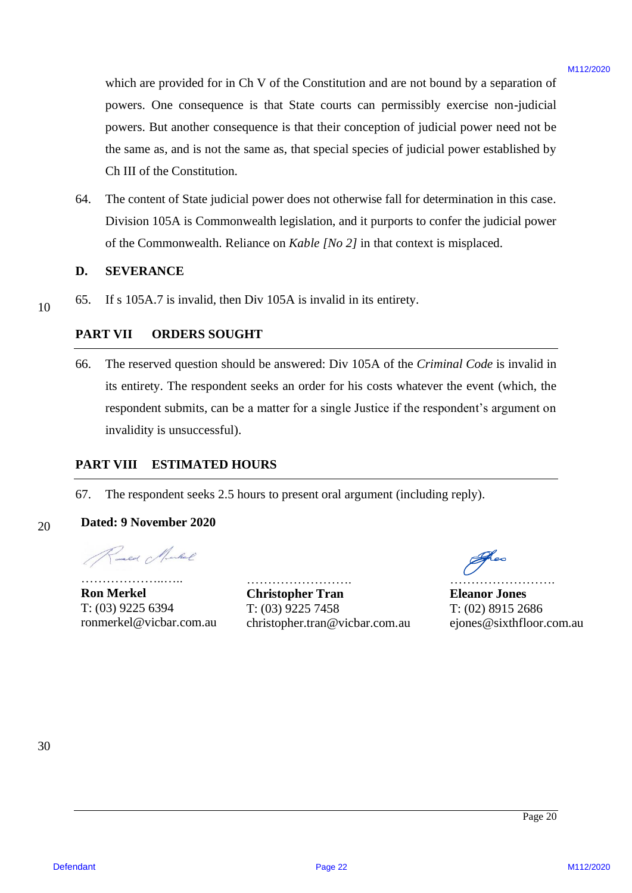which are provided for in Ch V of the Constitution and are not bound by a separation of powers. One consequence is that State courts can permissibly exercise non-judicial powers. One consequence is that State courts can permissibly exercise non-judicial powers. But another consequence is that their conception of judicial power need not be powers. But another consequence is that their conception of judicial power need not be the same as, and is not the same as, that special species of judicial power established by the same as, and is not the same as, that special species of judicial power established by Ch III of the Constitution. Ch III of the Constitution. which are provided for in G1 V of the Constitution and we not bound by a separation of<br>powers. One consequence is find form control constantly concrete anological<br>process. This are the same as a find to the constraint pro

64. The content of State judicial power does not otherwise fall for determination in this case. 64. The content of State judicial power does not otherwise fall for determination in this case. Division 105A is Commonwealth legislation, and it purports to confer the judicial power Division 105A is Commonwealth legislation, and it purports to confer the judicial power of the Commonwealth. Reliance on *Kable [No 2]* in that context is misplaced.

### **D. SEVERANCE** D. SEVERANCE

10 10 65. If s 105A.7 is invalid, then Div 105A is invalid in its entirety.

### **PART VII ORDERS SOUGHT**

66. The reserved question should be answered: Div 105A of the *Criminal Code* is invalid in 66. The reserved questionshould be answered: Div 105A of the Criminal Code is invalid in its entirety. The respondent seeks an order for his costs whatever the event (which, the respondent submits, can be a matter for a single Justice if the respondent's argument on invalidity is unsuccessful). invalidity is unsuccessful).

### **PART VIII ESTIMATED HOURS** PART VIIT ESTIMATED HOURS

67. The respondent seeks 2.5 hours to present oral argument (including reply). 67. The respondent seeks 2.5 hours to present oral argument (including reply).

### 20 20 **Dated: 9 November 2020** Dated: 9 November 2020

……………………… **Ron Merkel** T: (03) 9225 6394 ronmerkel@vicbar.com.au **Christopher Tran** Ron Merkel Christopher Tran Eleanor Jones

………………………

T: (03) 9225 6394 T: (03) 9225 7458 T: (02) 8915 2686 ronmerkel@vicbar.com.au christopher.tran@vicbar.com.au ejones@sixthfloor.com.au

………………………

**Eleanor Jones** T: (02) 8915 2686 ejones@sixthfloor.com.au